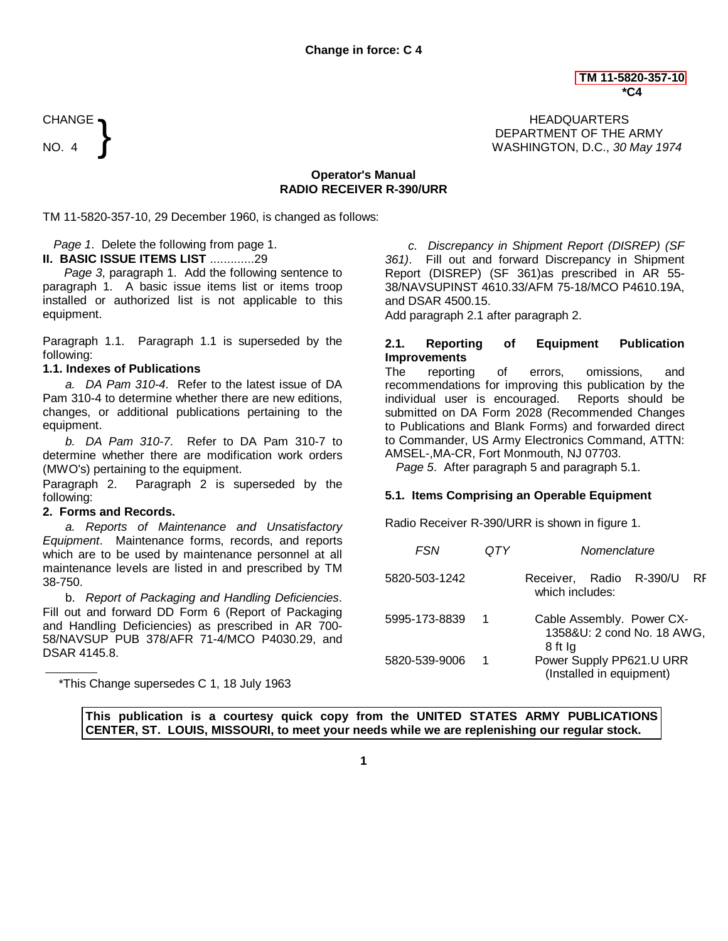CHANGE  $\blacksquare$ DEPARTMENT OF THE ARMY NO. 4 WASHINGTON, D.C., *30 May 1974*

# **Operator's Manual RADIO RECEIVER R-390/URR**

TM 11-5820-357-10, 29 December 1960, is changed as follows:

*Page 1*. Delete the following from page 1.

**II. BASIC ISSUE ITEMS LIST** .............29

*Page 3*, paragraph 1. Add the following sentence to paragraph 1. A basic issue items list or items troop installed or authorized list is not applicable to this equipment.

Paragraph 1.1. Paragraph 1.1 is superseded by the following:

## **1.1. Indexes of Publications**

}

*a. DA Pam 310-4*. Refer to the latest issue of DA Pam 310-4 to determine whether there are new editions, changes, or additional publications pertaining to the equipment.

*b. DA Pam 310-7*. Refer to DA Pam 310-7 to determine whether there are modification work orders (MWO's) pertaining to the equipment.

Paragraph 2. Paragraph 2 is superseded by the following:

## **2. Forms and Records.**

*a. Reports of Maintenance and Unsatisfactory Equipment*. Maintenance forms, records, and reports which are to be used by maintenance personnel at all maintenance levels are listed in and prescribed by TM 38-750.

b. *Report of Packaging and Handling Deficiencies*. Fill out and forward DD Form 6 (Report of Packaging and Handling Deficiencies) as prescribed in AR 700- 58/NAVSUP PUB 378/AFR 71-4/MCO P4030.29, and DSAR 4145.8.

\*This Change supersedes C 1, 18 July 1963

*c. Discrepancy in Shipment Report (DISREP) (SF 361)*. Fill out and forward Discrepancy in Shipment Report (DISREP) (SF 361)as prescribed in AR 55- 38/NAVSUPINST 4610.33/AFM 75-18/MCO P4610.19A, and DSAR 4500.15.

Add paragraph 2.1 after paragraph 2.

# **2.1. Reporting of Equipment Publication Improvements**

The reporting of errors, omissions, and recommendations for improving this publication by the individual user is encouraged. Reports should be submitted on DA Form 2028 (Recommended Changes to Publications and Blank Forms) and forwarded direct to Commander, US Army Electronics Command, ATTN: AMSEL-,MA-CR, Fort Monmouth, NJ 07703.

*Page 5*. After paragraph 5 and paragraph 5.1.

# **5.1. Items Comprising an Operable Equipment**

Radio Receiver R-390/URR is shown in figure 1.

| FSN           | ΙY | Nomenclature                                                       |
|---------------|----|--------------------------------------------------------------------|
| 5820-503-1242 |    | R-390/U<br>Receiver, Radio<br>RF<br>which includes:                |
| 5995-173-8839 |    | Cable Assembly. Power CX-<br>1358&U: 2 cond No. 18 AWG,<br>8 ft Ig |
| 5820-539-9006 |    | Power Supply PP621.U URR<br>(Installed in equipment)               |

**This publication is a courtesy quick copy from the UNITED STATES ARMY PUBLICATIONS CENTER, ST. LOUIS, MISSOURI, to meet your needs while we are replenishing our regular stock.**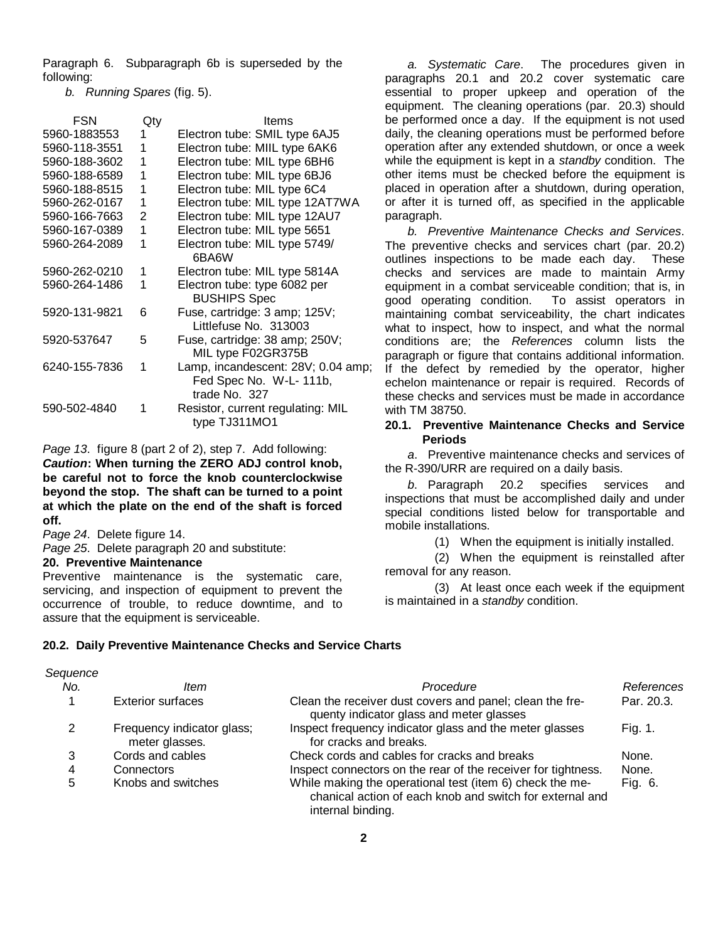Paragraph 6. Subparagraph 6b is superseded by the following:

*b. Running Spares* (fig. 5).

| FSN           | Qty | Items                                                                         |
|---------------|-----|-------------------------------------------------------------------------------|
| 5960-1883553  | 1   | Electron tube: SMIL type 6AJ5                                                 |
| 5960-118-3551 | 1   | Electron tube: MIIL type 6AK6                                                 |
| 5960-188-3602 | 1   | Electron tube: MIL type 6BH6                                                  |
| 5960-188-6589 | 1   | Electron tube: MIL type 6BJ6                                                  |
| 5960-188-8515 | 1   | Electron tube: MIL type 6C4                                                   |
| 5960-262-0167 | 1   | Electron tube: MIL type 12AT7WA                                               |
| 5960-166-7663 | 2   | Electron tube: MIL type 12AU7                                                 |
| 5960-167-0389 | 1   | Electron tube: MIL type 5651                                                  |
| 5960-264-2089 | 1   | Electron tube: MIL type 5749/<br>6BA6W                                        |
| 5960-262-0210 | 1   | Electron tube: MIL type 5814A                                                 |
| 5960-264-1486 | 1   | Electron tube: type 6082 per<br><b>BUSHIPS Spec</b>                           |
| 5920-131-9821 | 6   | Fuse, cartridge: 3 amp; 125V;<br>Littlefuse No. 313003                        |
| 5920-537647   | 5   | Fuse, cartridge: 38 amp; 250V;<br>MIL type F02GR375B                          |
| 6240-155-7836 | 1   | Lamp, incandescent: 28V; 0.04 amp;<br>Fed Spec No. W-L-111b,<br>trade No. 327 |
| 590-502-4840  | 1   | Resistor, current regulating: MIL<br>type TJ311MO1                            |

*Page 13*. figure 8 (part 2 of 2), step 7. Add following: *Caution***: When turning the ZERO ADJ control knob, be careful not to force the knob counterclockwise beyond the stop. The shaft can be turned to a point at which the plate on the end of the shaft is forced off.**

*Page 24*. Delete figure 14.

*Sequence*

*Page 25*. Delete paragraph 20 and substitute:

## **20. Preventive Maintenance**

Preventive maintenance is the systematic care, servicing, and inspection of equipment to prevent the occurrence of trouble, to reduce downtime, and to assure that the equipment is serviceable.

# **20.2. Daily Preventive Maintenance Checks and Service Charts**

| ltem                                         | Procedure                                                                                                                                 | References |
|----------------------------------------------|-------------------------------------------------------------------------------------------------------------------------------------------|------------|
| <b>Exterior surfaces</b>                     | Clean the receiver dust covers and panel; clean the fre-<br>quenty indicator glass and meter glasses                                      | Par. 20.3. |
| Frequency indicator glass;<br>meter glasses. | Inspect frequency indicator glass and the meter glasses<br>for cracks and breaks.                                                         | Fig. 1.    |
| Cords and cables                             | Check cords and cables for cracks and breaks                                                                                              | None.      |
| <b>Connectors</b>                            | Inspect connectors on the rear of the receiver for tightness.                                                                             | None.      |
| Knobs and switches                           | While making the operational test (item 6) check the me-<br>chanical action of each knob and switch for external and<br>internal binding. | Fig. 6.    |
|                                              |                                                                                                                                           |            |

*a. Systematic Care*. The procedures given in paragraphs 20.1 and 20.2 cover systematic care essential to proper upkeep and operation of the equipment. The cleaning operations (par. 20.3) should be performed once a day. If the equipment is not used daily, the cleaning operations must be performed before operation after any extended shutdown, or once a week while the equipment is kept in a *standby* condition. The other items must be checked before the equipment is placed in operation after a shutdown, during operation, or after it is turned off, as specified in the applicable paragraph.

*b. Preventive Maintenance Checks and Services*. The preventive checks and services chart (par. 20.2) outlines inspections to be made each day. These checks and services are made to maintain Army equipment in a combat serviceable condition; that is, in good operating condition. To assist operators in maintaining combat serviceability, the chart indicates what to inspect, how to inspect, and what the normal conditions are; the *References* column lists the paragraph or figure that contains additional information. If the defect by remedied by the operator, higher echelon maintenance or repair is required. Records of these checks and services must be made in accordance with TM 38750.

## **20.1. Preventive Maintenance Checks and Service Periods**

*a*. Preventive maintenance checks and services of the R-390/URR are required on a daily basis.

*b*. Paragraph 20.2 specifies services and inspections that must be accomplished daily and under special conditions listed below for transportable and mobile installations.

(1) When the equipment is initially installed.

(2) When the equipment is reinstalled after removal for any reason.

(3) At least once each week if the equipment is maintained in a *standby* condition.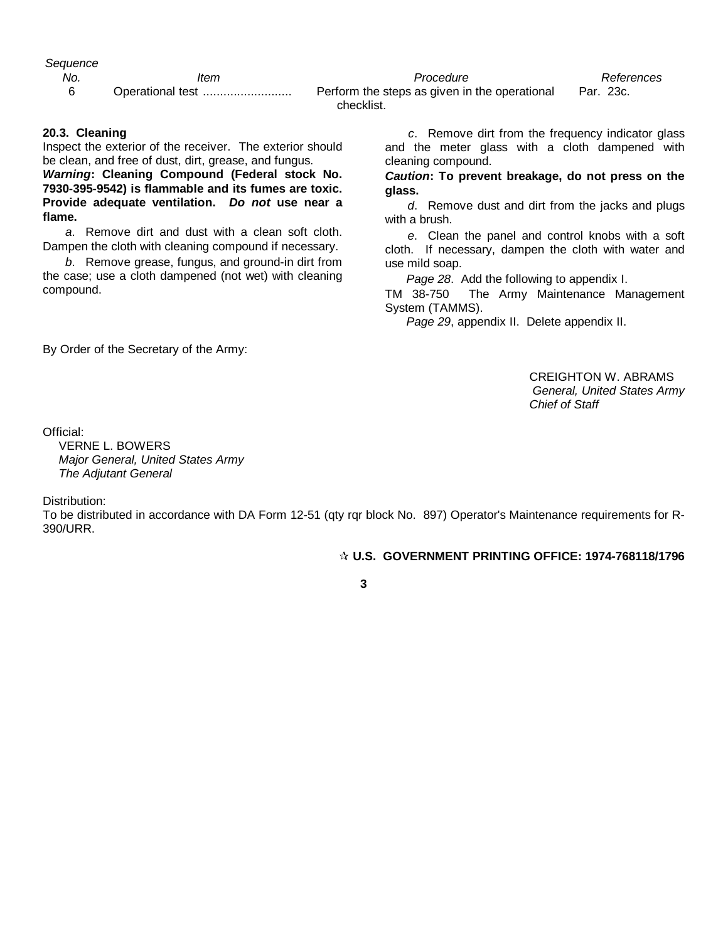*Sequence*

*No. Item Procedure References*

6 Operational test .......................... Perform the steps as given in the operational Par. 23c. checklist.

## **20.3. Cleaning**

Inspect the exterior of the receiver. The exterior should be clean, and free of dust, dirt, grease, and fungus.

*Warning***: Cleaning Compound (Federal stock No. 7930-395-9542) is flammable and its fumes are toxic. Provide adequate ventilation.** *Do not* **use near a flame.**

*a*. Remove dirt and dust with a clean soft cloth. Dampen the cloth with cleaning compound if necessary.

*b*. Remove grease, fungus, and ground-in dirt from the case; use a cloth dampened (not wet) with cleaning compound.

*c*. Remove dirt from the frequency indicator glass and the meter glass with a cloth dampened with cleaning compound.

*Caution***: To prevent breakage, do not press on the glass.**

*d*. Remove dust and dirt from the jacks and plugs with a brush.

*e*. Clean the panel and control knobs with a soft cloth. If necessary, dampen the cloth with water and use mild soap.

*Page 28*. Add the following to appendix I.

TM 38-750 The Army Maintenance Management System (TAMMS).

*Page 29*, appendix II. Delete appendix II.

By Order of the Secretary of the Army:

CREIGHTON W. ABRAMS *General, United States Army Chief of Staff*

Official:

VERNE L. BOWERS *Major General, United States Army The Adjutant General*

Distribution:

To be distributed in accordance with DA Form 12-51 (qty rqr block No. 897) Operator's Maintenance requirements for R-390/URR.

 **U.S. GOVERNMENT PRINTING OFFICE: 1974-768118/1796**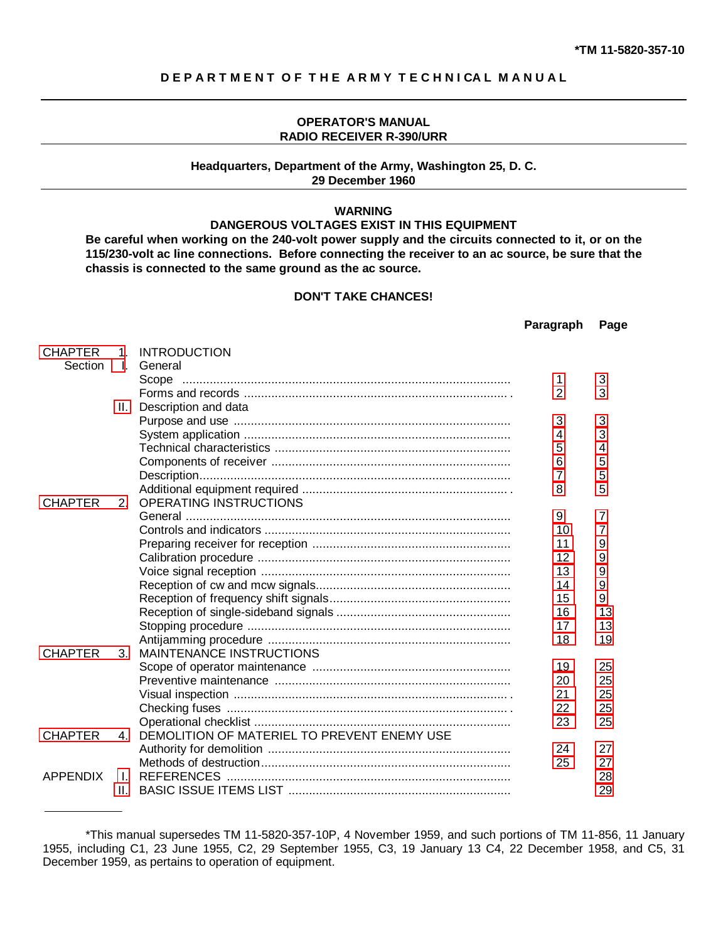# <span id="page-3-0"></span>**D E P A R T M E N T O F T H E A R M Y T E C H N I CA L M A N U A L**

## **OPERATOR'S MANUAL RADIO RECEIVER R-390/URR**

# **Headquarters, Department of the Army, Washington 25, D. C. 29 December 1960**

## **WARNING**

# **DANGEROUS VOLTAGES EXIST IN THIS EQUIPMENT**

**Be careful when working on the 240-volt power supply and the circuits connected to it, or on the 115/230-volt ac line connections. Before connecting the receiver to an ac source, be sure that the chassis is connected to the same ground as the ac source.**

## **DON'T TAKE CHANCES!**

|                 |                |                                             | Paragraph      | Page |
|-----------------|----------------|---------------------------------------------|----------------|------|
| <b>CHAPTER</b>  | 1.             | <b>INTRODUCTION</b>                         |                |      |
| Section         | $\mathbf{L}$   | General                                     |                |      |
|                 |                | Scope                                       | 1              | 3    |
|                 |                |                                             | $\overline{2}$ | 3    |
|                 | Ш.             | Description and data                        |                |      |
|                 |                |                                             | 3              | 3    |
|                 |                |                                             | 4              | 3    |
|                 |                |                                             | 5              | 4    |
|                 |                |                                             | 6              | 5    |
|                 |                |                                             | 7              | 5    |
|                 |                |                                             | 8              | 5    |
| <b>CHAPTER</b>  | 2 <sub>1</sub> | OPERATING INSTRUCTIONS                      |                |      |
|                 |                |                                             | 9              | 7    |
|                 |                |                                             | 10             | 7    |
|                 |                |                                             | 11             | 9    |
|                 |                |                                             | 12             | 9    |
|                 |                |                                             | 13             | 9    |
|                 |                |                                             | 14             | 9    |
|                 |                |                                             | 15             | 9    |
|                 |                |                                             | 16             | 13   |
|                 |                |                                             | 17             | 13   |
|                 |                |                                             | 18             | 19   |
| <b>CHAPTER</b>  | 3.             | MAINTENANCE INSTRUCTIONS                    |                |      |
|                 |                |                                             | 19             | 25   |
|                 |                |                                             | 20             | 25   |
|                 |                |                                             | 21             | 25   |
|                 |                |                                             | 22             | 25   |
|                 |                |                                             | 23             | 25   |
| <b>CHAPTER</b>  | 4.             | DEMOLITION OF MATERIEL TO PREVENT ENEMY USE |                |      |
|                 |                |                                             | 24             | 27   |
|                 |                |                                             | 25             | 27   |
| <b>APPENDIX</b> | $\mathbf{L}$   | <b>REFERENCES</b>                           |                | 28   |
|                 | Ш.             |                                             |                | 29   |

<sup>\*</sup>This manual supersedes TM 11-5820-357-10P, 4 November 1959, and such portions of TM 11-856, 11 January 1955, including C1, 23 June 1955, C2, 29 September 1955, C3, 19 January 13 C4, 22 December 1958, and C5, 31 December 1959, as pertains to operation of equipment.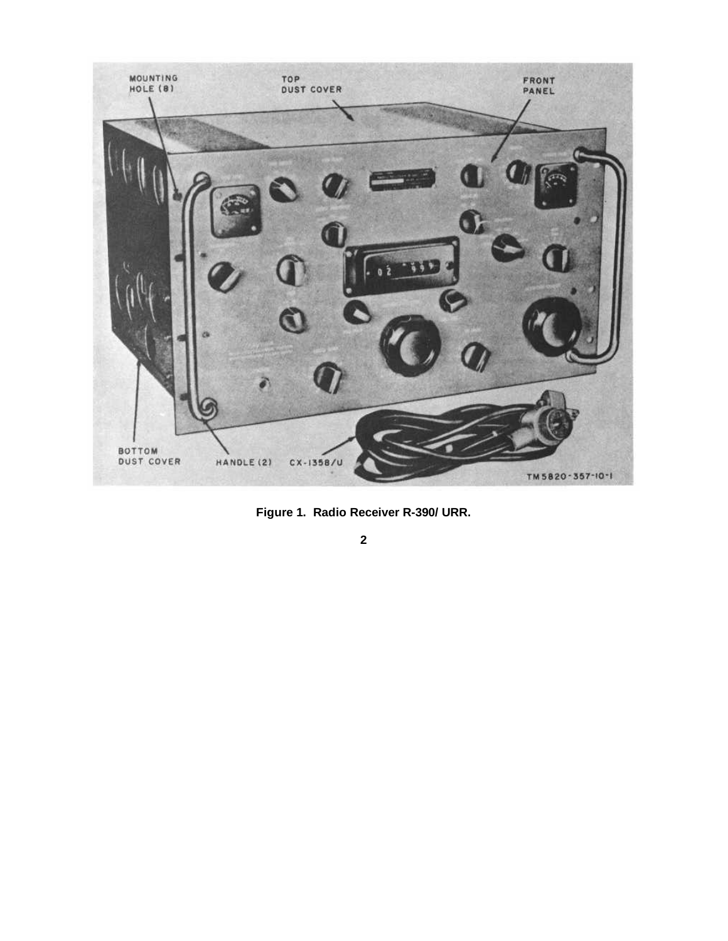<span id="page-4-0"></span>

**Figure 1. Radio Receiver R-390/ URR.**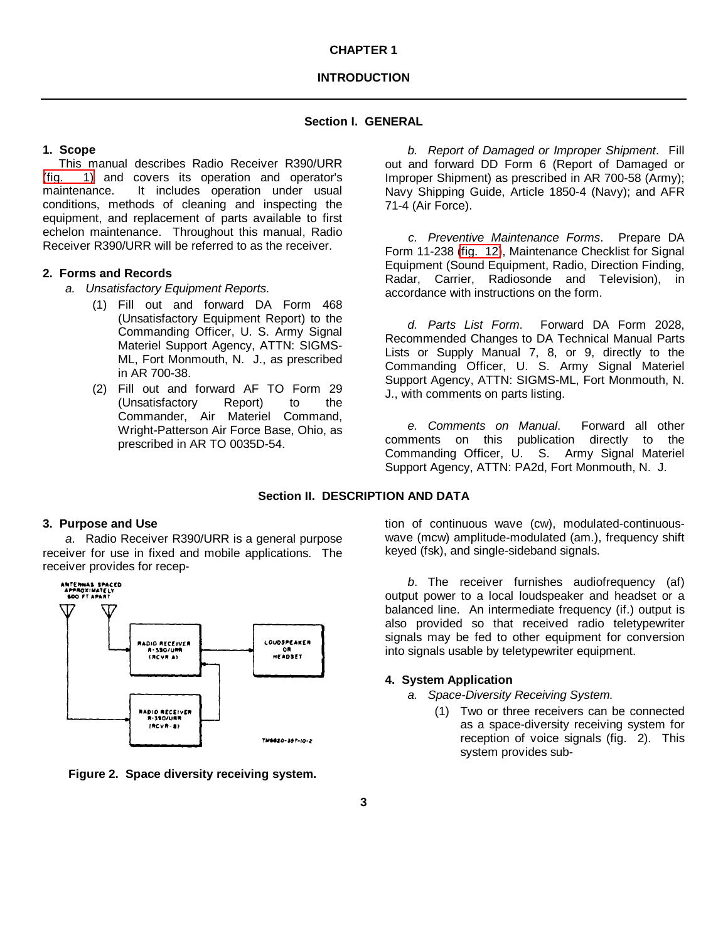## **Section I. GENERAL**

## <span id="page-5-0"></span>**1. Scope**

This manual describes Radio Receiver R390/URR [\(fig. 1\)](#page-4-0) and covers its operation and operator's maintenance. It includes operation under usual conditions, methods of cleaning and inspecting the equipment, and replacement of parts available to first echelon maintenance. Throughout this manual, Radio Receiver R390/URR will be referred to as the receiver.

## **2. Forms and Records**

- *a. Unsatisfactory Equipment Reports.*
	- (1) Fill out and forward DA Form 468 (Unsatisfactory Equipment Report) to the Commanding Officer, U. S. Army Signal Materiel Support Agency, ATTN: SIGMS-ML, Fort Monmouth, N. J., as prescribed in AR 700-38.
	- (2) Fill out and forward AF TO Form 29 (Unsatisfactory Report) to the Commander, Air Materiel Command, Wright-Patterson Air Force Base, Ohio, as prescribed in AR TO 0035D-54.

*b. Report of Damaged or Improper Shipment*. Fill out and forward DD Form 6 (Report of Damaged or Improper Shipment) as prescribed in AR 700-58 (Army); Navy Shipping Guide, Article 1850-4 (Navy); and AFR 71-4 (Air Force).

*c. Preventive Maintenance Forms*. Prepare DA Form 11-238 [\(fig. 12\)](#page-24-0), Maintenance Checklist for Signal Equipment (Sound Equipment, Radio, Direction Finding, Radar, Carrier, Radiosonde and Television), in accordance with instructions on the form.

*d. Parts List Form*. Forward DA Form 2028, Recommended Changes to DA Technical Manual Parts Lists or Supply Manual 7, 8, or 9, directly to the Commanding Officer, U. S. Army Signal Materiel Support Agency, ATTN: SIGMS-ML, Fort Monmouth, N. J., with comments on parts listing.

*e. Comments on Manual*. Forward all other comments on this publication directly to the Commanding Officer, U. S. Army Signal Materiel Support Agency, ATTN: PA2d, Fort Monmouth, N. J.

# **Section II. DESCRIPTION AND DATA**

## **3. Purpose and Use**

*a*. Radio Receiver R390/URR is a general purpose receiver for use in fixed and mobile applications. The receiver provides for recep-





tion of continuous wave (cw), modulated-continuouswave (mcw) amplitude-modulated (am.), frequency shift keyed (fsk), and single-sideband signals.

*b*. The receiver furnishes audiofrequency (af) output power to a local loudspeaker and headset or a balanced line. An intermediate frequency (if.) output is also provided so that received radio teletypewriter signals may be fed to other equipment for conversion into signals usable by teletypewriter equipment.

## **4. System Application**

- *a. Space-Diversity Receiving System.*
	- (1) Two or three receivers can be connected as a space-diversity receiving system for reception of voice signals (fig. 2). This system provides sub-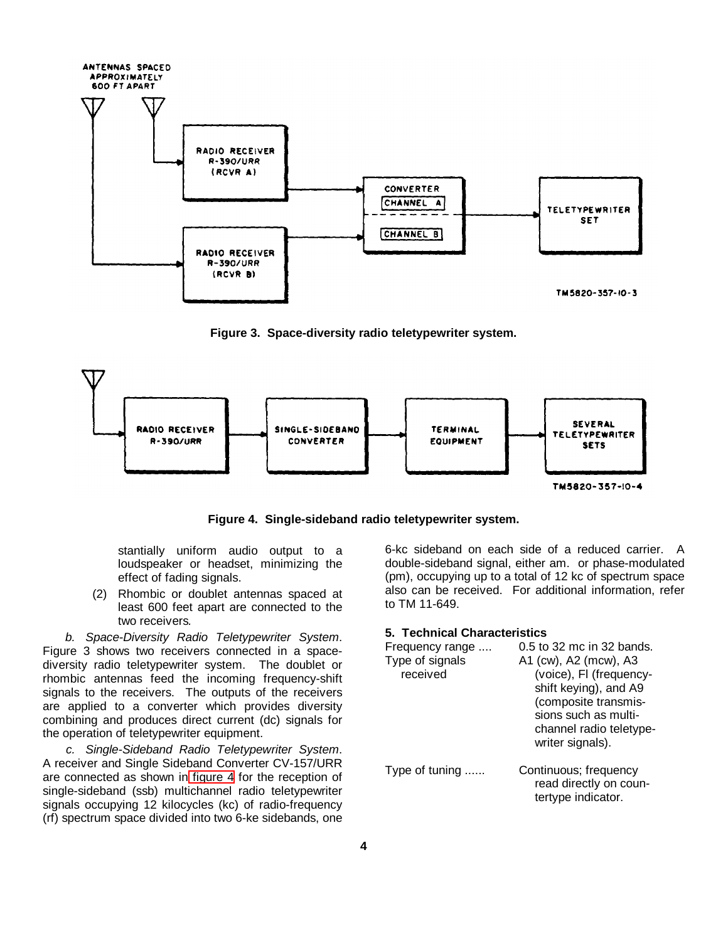<span id="page-6-1"></span><span id="page-6-0"></span>

**Figure 3. Space-diversity radio teletypewriter system.**



**Figure 4. Single-sideband radio teletypewriter system.**

stantially uniform audio output to a loudspeaker or headset, minimizing the effect of fading signals.

(2) Rhombic or doublet antennas spaced at least 600 feet apart are connected to the two receivers*.*

*b. Space-Diversity Radio Teletypewriter System*. Figure 3 shows two receivers connected in a spacediversity radio teletypewriter system. The doublet or rhombic antennas feed the incoming frequency-shift signals to the receivers. The outputs of the receivers are applied to a converter which provides diversity combining and produces direct current (dc) signals for the operation of teletypewriter equipment.

*c. Single-Sideband Radio Teletypewriter System*. A receiver and Single Sideband Converter CV-157/URR are connected as shown in [figure 4](#page-6-0) for the reception of single-sideband (ssb) multichannel radio teletypewriter signals occupying 12 kilocycles (kc) of radio-frequency (rf) spectrum space divided into two 6-ke sidebands, one 6-kc sideband on each side of a reduced carrier. A double-sideband signal, either am. or phase-modulated (pm), occupying up to a total of 12 kc of spectrum space also can be received. For additional information, refer to TM 11-649.

## **5. Technical Characteristics**

| Frequency range | 0.5 to 32 mc in 32 bands. |
|-----------------|---------------------------|
| Type of signals | A1 (cw), A2 (mcw), A3     |
| received        | (voice), FI (frequency-   |
|                 | shift keying), and A9     |
|                 | (composite transmis-      |
|                 | sions such as multi-      |
|                 | channel radio teletype-   |
|                 | writer signals).          |
| Type of tuning  | Continuous; frequency     |
|                 | read directly on coun-    |
|                 | tertype indicator.        |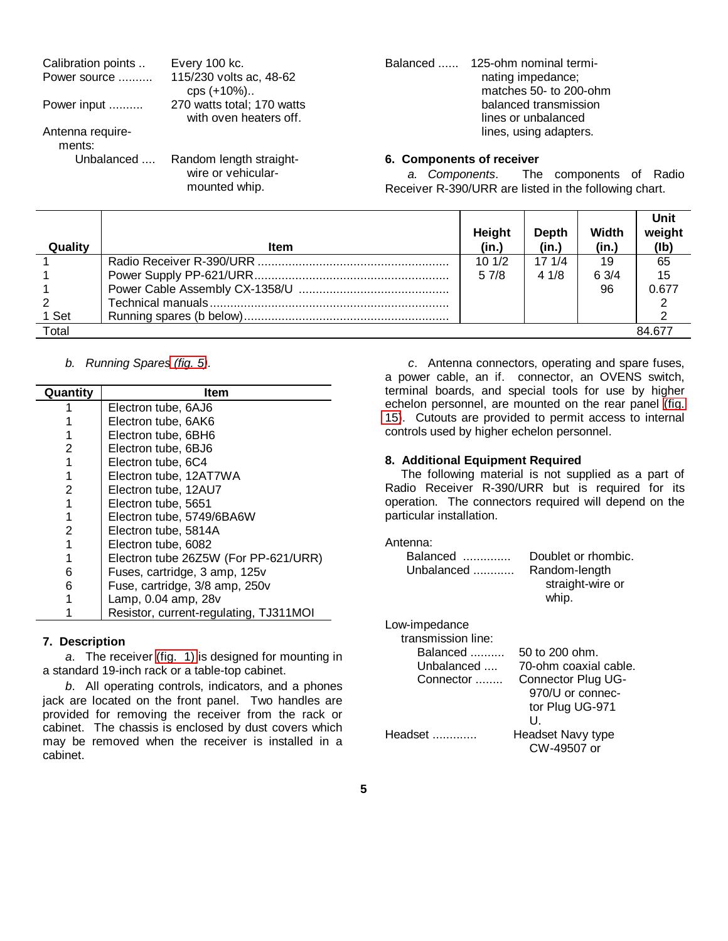<span id="page-7-0"></span>

| Calibration points | Every 100 kc.                       | 125-ohm nominal termi-<br>Balanced                    |
|--------------------|-------------------------------------|-------------------------------------------------------|
| Power source       | 115/230 volts ac, 48-62             | nating impedance;                                     |
|                    | cps (+10%)                          | matches 50- to 200-ohm                                |
| Power input        | 270 watts total; 170 watts          | balanced transmission                                 |
|                    | with oven heaters off.              | lines or unbalanced                                   |
| Antenna require-   |                                     | lines, using adapters.                                |
| ments:             |                                     |                                                       |
| Unbalanced         | Random length straight-             | 6. Components of receiver                             |
|                    | wire or vehicular-<br>mounted whip. | a. Components. The components of Radio                |
|                    |                                     | Receiver R-390/URR are listed in the following chart. |

|         |             | Height | Depth | Width | Unit<br>weight |
|---------|-------------|--------|-------|-------|----------------|
| Quality | <b>Item</b> | (in.)  | (in.) | (in.) | (lb)           |
|         |             | 101/2  | 171/4 | 19    | 65             |
|         |             | 57/8   | 41/8  | 6.3/4 | 15             |
|         |             |        |       | 96    | 0.677          |
|         |             |        |       |       |                |
| 1 Set   |             |        |       |       |                |
| Total   |             |        |       |       | 84.677         |

# *b. Running Spare[s \(fig. 5\)](#page-8-0).*

| Quantity | Item                                   |
|----------|----------------------------------------|
|          | Electron tube, 6AJ6                    |
|          | Electron tube, 6AK6                    |
|          | Electron tube, 6BH6                    |
| 2        | Electron tube, 6BJ6                    |
|          | Electron tube, 6C4                     |
|          | Electron tube, 12AT7WA                 |
| 2        | Electron tube, 12AU7                   |
|          | Electron tube, 5651                    |
|          | Electron tube, 5749/6BA6W              |
| 2        | Electron tube, 5814A                   |
|          | Electron tube, 6082                    |
|          | Electron tube 26Z5W (For PP-621/URR)   |
| 6        | Fuses, cartridge, 3 amp, 125v          |
| 6        | Fuse, cartridge, 3/8 amp, 250v         |
|          | Lamp, 0.04 amp, 28v                    |
|          | Resistor, current-regulating, TJ311MOI |

# **7. Description**

*a*. The receiver [\(fig. 1\)](#page-4-0) is designed for mounting in a standard 19-inch rack or a table-top cabinet.

*b*. All operating controls, indicators, and a phones jack are located on the front panel. Two handles are provided for removing the receiver from the rack or cabinet. The chassis is enclosed by dust covers which may be removed when the receiver is installed in a cabinet.

*c*. Antenna connectors, operating and spare fuses, a power cable, an if. connector, an OVENS switch, terminal boards, and special tools for use by higher echelon personnel, are mounted on the rear panel [\(fig.](#page-28-0) [15\)](#page-28-0). Cutouts are provided to permit access to internal controls used by higher echelon personnel.

# **8. Additional Equipment Required**

The following material is not supplied as a part of Radio Receiver R-390/URR but is required for its operation. The connectors required will depend on the particular installation.

## Antenna:

| Balanced<br>Unbalanced $\ldots$ | Doublet or rhombic.<br>Random-length<br>straight-wire or<br>whip. |
|---------------------------------|-------------------------------------------------------------------|
|                                 |                                                                   |

| Low-impedance      |                       |
|--------------------|-----------------------|
| transmission line: |                       |
| Balanced           | $50$ to $200$ ohm.    |
| Unbalanced         | 70-ohm coaxial cable. |
| Connector          | Connector Plug UG-    |
|                    | 970/U or connec-      |
|                    | tor Plug UG-971       |
|                    | U                     |
| Headset            | Headset Navy type     |
|                    | CW-49507 or           |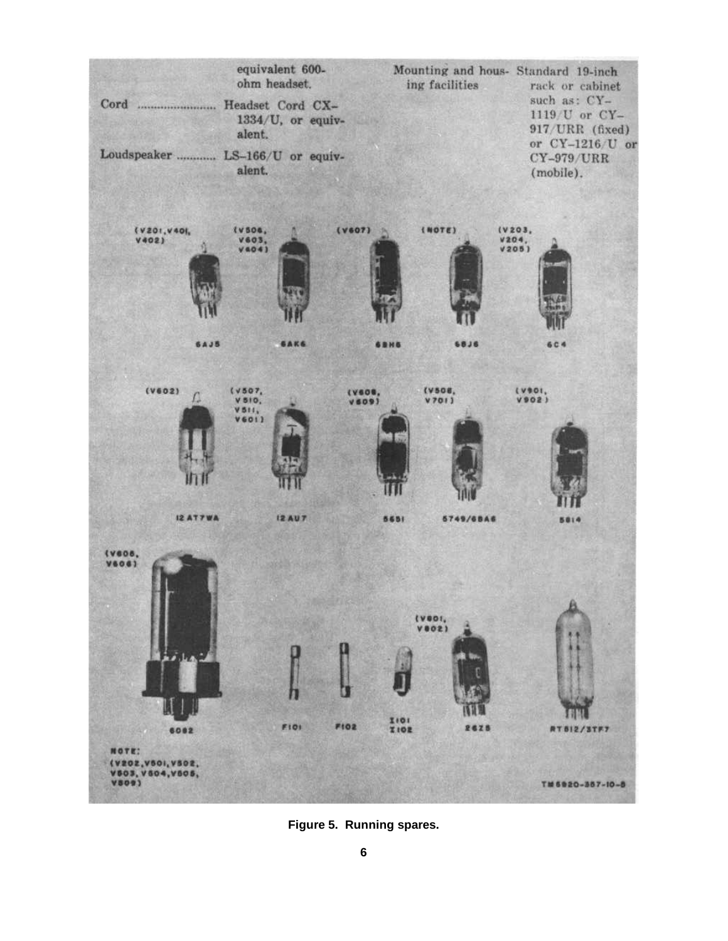<span id="page-8-0"></span>

**Figure 5. Running spares.**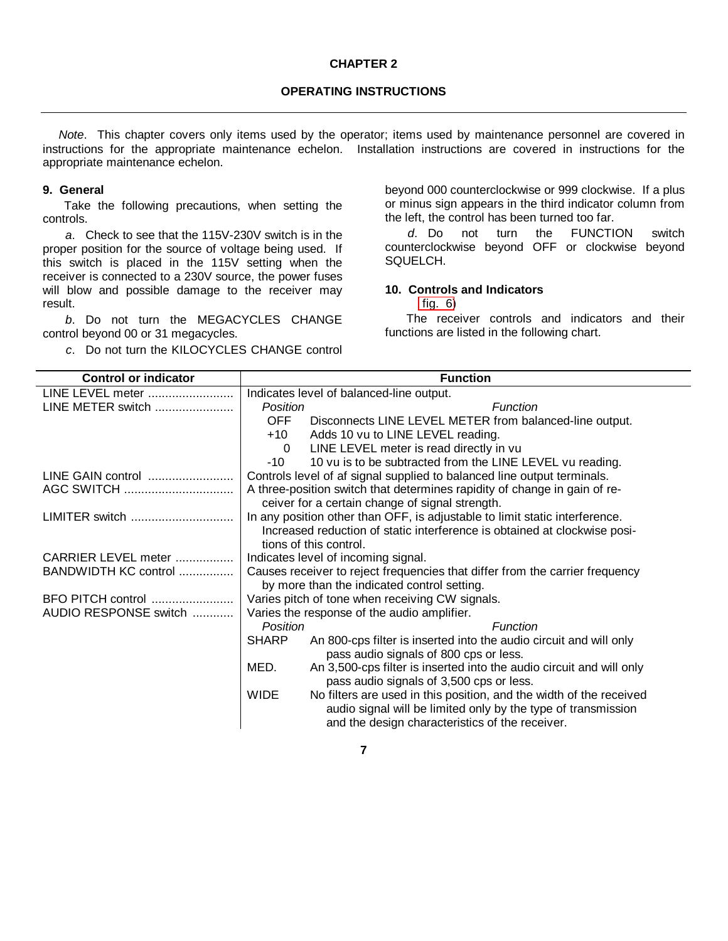#### **CHAPTER 2**

# **OPERATING INSTRUCTIONS**

<span id="page-9-0"></span>*Note*. This chapter covers only items used by the operator; items used by maintenance personnel are covered in instructions for the appropriate maintenance echelon. Installation instructions are covered in instructions for the appropriate maintenance echelon.

### **9. General**

Take the following precautions, when setting the controls.

*a*. Check to see that the 115V-230V switch is in the proper position for the source of voltage being used. If this switch is placed in the 115V setting when the receiver is connected to a 230V source, the power fuses will blow and possible damage to the receiver may result.

*b*. Do not turn the MEGACYCLES CHANGE control beyond 00 or 31 megacycles.

*c*. Do not turn the KILOCYCLES CHANGE control

beyond 000 counterclockwise or 999 clockwise. If a plus or minus sign appears in the third indicator column from the left, the control has been turned too far.

*d*. Do not turn the FUNCTION switch counterclockwise beyond OFF or clockwise beyond SQUELCH.

# **10. Controls and Indicators**

[fig. 6\)](#page-11-0)

The receiver controls and indicators and their functions are listed in the following chart.

| <b>Control or indicator</b> | <b>Function</b>                                                                    |  |  |
|-----------------------------|------------------------------------------------------------------------------------|--|--|
| LINE LEVEL meter            | Indicates level of balanced-line output.                                           |  |  |
| LINE METER switch           | Function<br>Position                                                               |  |  |
|                             | OFF<br>Disconnects LINE LEVEL METER from balanced-line output.                     |  |  |
|                             | $+10$<br>Adds 10 vu to LINE LEVEL reading.                                         |  |  |
|                             | LINE LEVEL meter is read directly in vu<br>$\Omega$                                |  |  |
|                             | 10 vu is to be subtracted from the LINE LEVEL vu reading.<br>$-10$                 |  |  |
| LINE GAIN control           | Controls level of af signal supplied to balanced line output terminals.            |  |  |
| AGC SWITCH                  | A three-position switch that determines rapidity of change in gain of re-          |  |  |
|                             | ceiver for a certain change of signal strength.                                    |  |  |
| LIMITER switch              | In any position other than OFF, is adjustable to limit static interference.        |  |  |
|                             | Increased reduction of static interference is obtained at clockwise posi-          |  |  |
|                             | tions of this control.                                                             |  |  |
| CARRIER LEVEL meter         | Indicates level of incoming signal.                                                |  |  |
| BANDWIDTH KC control        | Causes receiver to reject frequencies that differ from the carrier frequency       |  |  |
|                             | by more than the indicated control setting.                                        |  |  |
| BFO PITCH control           | Varies pitch of tone when receiving CW signals.                                    |  |  |
| AUDIO RESPONSE switch       | Varies the response of the audio amplifier.                                        |  |  |
|                             | Position<br>Function                                                               |  |  |
|                             | <b>SHARP</b><br>An 800-cps filter is inserted into the audio circuit and will only |  |  |
|                             | pass audio signals of 800 cps or less.                                             |  |  |
|                             | MED.<br>An 3,500-cps filter is inserted into the audio circuit and will only       |  |  |
|                             | pass audio signals of 3,500 cps or less.                                           |  |  |
|                             | <b>WIDE</b><br>No filters are used in this position, and the width of the received |  |  |
|                             | audio signal will be limited only by the type of transmission                      |  |  |
|                             | and the design characteristics of the receiver.                                    |  |  |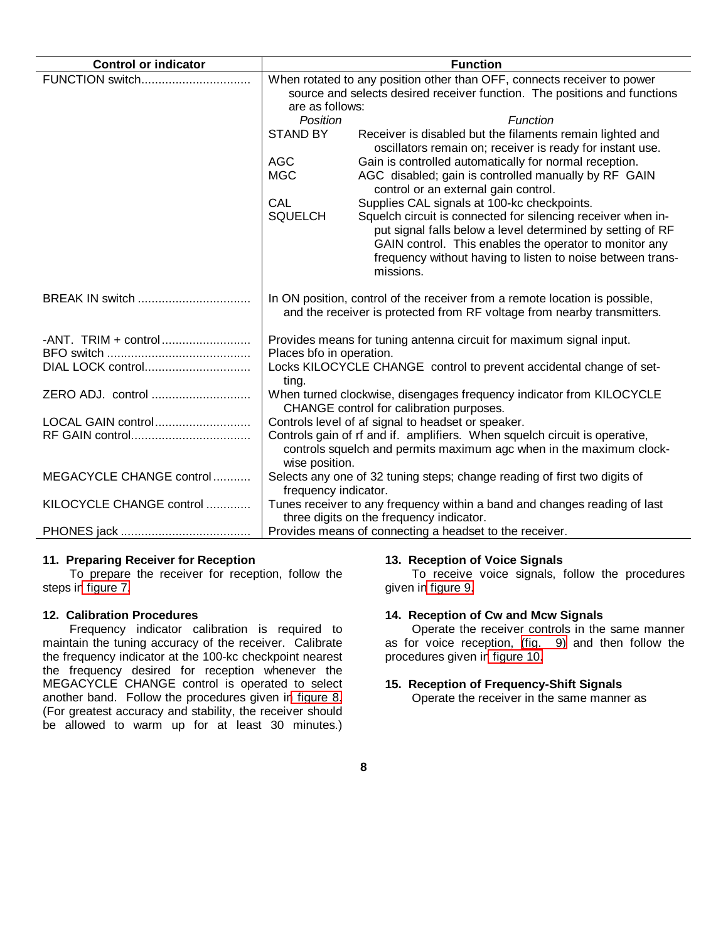<span id="page-10-0"></span>

| <b>Control or indicator</b> |                                                                                                                                                                     | <b>Function</b>                                                                                                                                                                                                                                                 |  |
|-----------------------------|---------------------------------------------------------------------------------------------------------------------------------------------------------------------|-----------------------------------------------------------------------------------------------------------------------------------------------------------------------------------------------------------------------------------------------------------------|--|
| FUNCTION switch             | When rotated to any position other than OFF, connects receiver to power<br>source and selects desired receiver function. The positions and functions                |                                                                                                                                                                                                                                                                 |  |
|                             | are as follows:<br>Position                                                                                                                                         | Function                                                                                                                                                                                                                                                        |  |
|                             | <b>STAND BY</b>                                                                                                                                                     | Receiver is disabled but the filaments remain lighted and<br>oscillators remain on; receiver is ready for instant use.                                                                                                                                          |  |
|                             | <b>AGC</b>                                                                                                                                                          | Gain is controlled automatically for normal reception.                                                                                                                                                                                                          |  |
|                             | <b>MGC</b>                                                                                                                                                          | AGC disabled; gain is controlled manually by RF GAIN<br>control or an external gain control.                                                                                                                                                                    |  |
|                             | CAL                                                                                                                                                                 | Supplies CAL signals at 100-kc checkpoints.                                                                                                                                                                                                                     |  |
|                             | <b>SQUELCH</b>                                                                                                                                                      | Squelch circuit is connected for silencing receiver when in-<br>put signal falls below a level determined by setting of RF<br>GAIN control. This enables the operator to monitor any<br>frequency without having to listen to noise between trans-<br>missions. |  |
| BREAK IN switch             |                                                                                                                                                                     | In ON position, control of the receiver from a remote location is possible,<br>and the receiver is protected from RF voltage from nearby transmitters.                                                                                                          |  |
|                             |                                                                                                                                                                     | Provides means for tuning antenna circuit for maximum signal input.                                                                                                                                                                                             |  |
|                             | Places bfo in operation.                                                                                                                                            |                                                                                                                                                                                                                                                                 |  |
|                             | ting.                                                                                                                                                               | Locks KILOCYCLE CHANGE control to prevent accidental change of set-                                                                                                                                                                                             |  |
| ZERO ADJ. control           | When turned clockwise, disengages frequency indicator from KILOCYCLE<br>CHANGE control for calibration purposes.                                                    |                                                                                                                                                                                                                                                                 |  |
| LOCAL GAIN control          |                                                                                                                                                                     | Controls level of af signal to headset or speaker.                                                                                                                                                                                                              |  |
|                             | Controls gain of rf and if. amplifiers. When squelch circuit is operative,<br>controls squelch and permits maximum agc when in the maximum clock-<br>wise position. |                                                                                                                                                                                                                                                                 |  |
| MEGACYCLE CHANGE control    | frequency indicator.                                                                                                                                                | Selects any one of 32 tuning steps; change reading of first two digits of                                                                                                                                                                                       |  |
| KILOCYCLE CHANGE control    |                                                                                                                                                                     | Tunes receiver to any frequency within a band and changes reading of last<br>three digits on the frequency indicator.                                                                                                                                           |  |
|                             |                                                                                                                                                                     | Provides means of connecting a headset to the receiver.                                                                                                                                                                                                         |  |

# **11. Preparing Receiver for Reception**

To prepare the receiver for reception, follow the steps i[n figure 7.](#page-12-0)

# **12. Calibration Procedures**

Frequency indicator calibration is required to maintain the tuning accuracy of the receiver. Calibrate the frequency indicator at the 100-kc checkpoint nearest the frequency desired for reception whenever the MEGACYCLE CHANGE control is operated to select another band. Follow the procedures given i[n figure 8.](#page-14-0) (For greatest accuracy and stability, the receiver should be allowed to warm up for at least 30 minutes.)

# **13. Reception of Voice Signals**

To receive voice signals, follow the procedures given i[n figure 9.](#page-16-0)

# **14. Reception of Cw and Mcw Signals**

Operate the receiver controls in the same manner as for voice reception, [\(fig. 9\)](#page-16-0) and then follow the procedures given i[n figure 10.](#page-20-0)

# **15. Reception of Frequency-Shift Signals**

Operate the receiver in the same manner as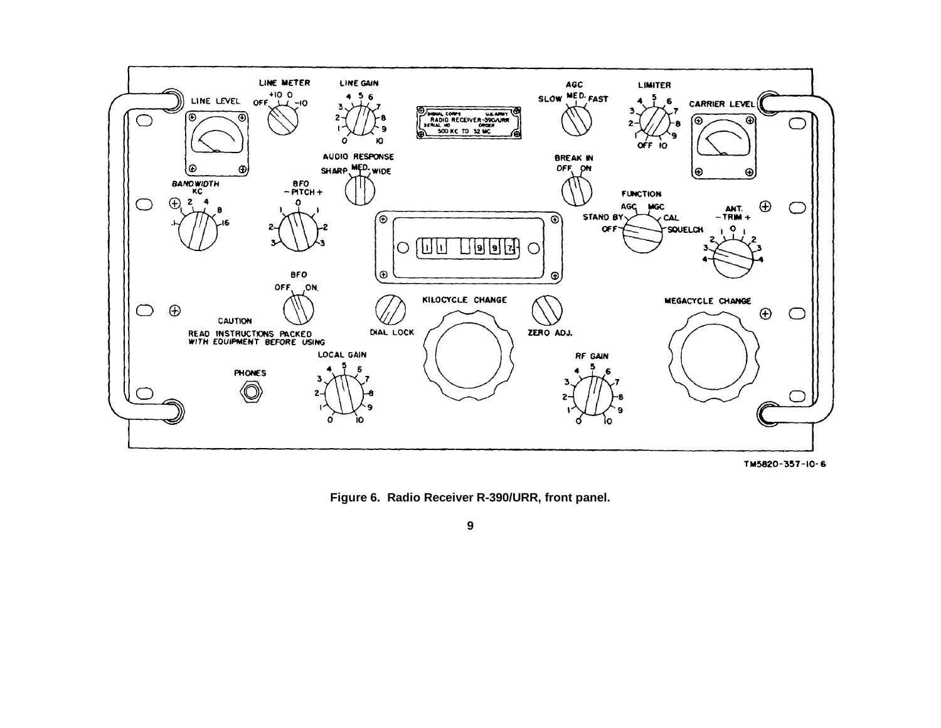<span id="page-11-0"></span>

TM5820-357-IO-6

**Figure 6. Radio Receiver R-390/URR, front panel.**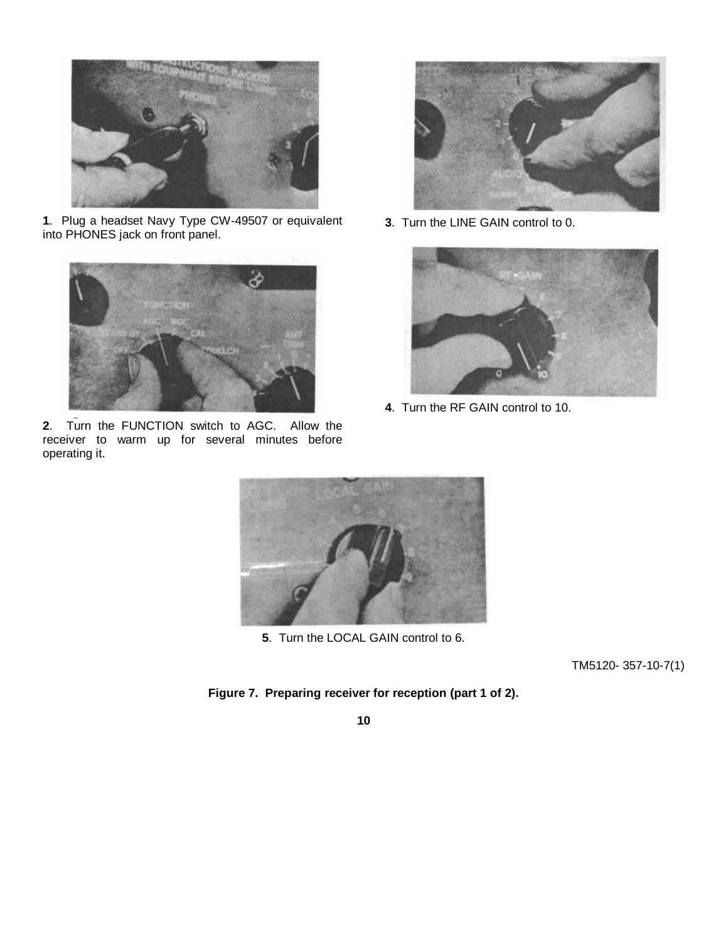<span id="page-12-0"></span>

**1**. Plug a headset Navy Type CW-49507 or equivalent into PHONES jack on front panel.



**2**. Turn the FUNCTION switch to AGC. Allow the receiver to warm up for several minutes before operating it.



**3**. Turn the LINE GAIN control to 0.



**4**. Turn the RF GAIN control to 10.



**5**. Turn the LOCAL GAIN control to 6.

TM5120- 357-10-7(1)

# **Figure 7. Preparing receiver for reception (part 1 of 2).**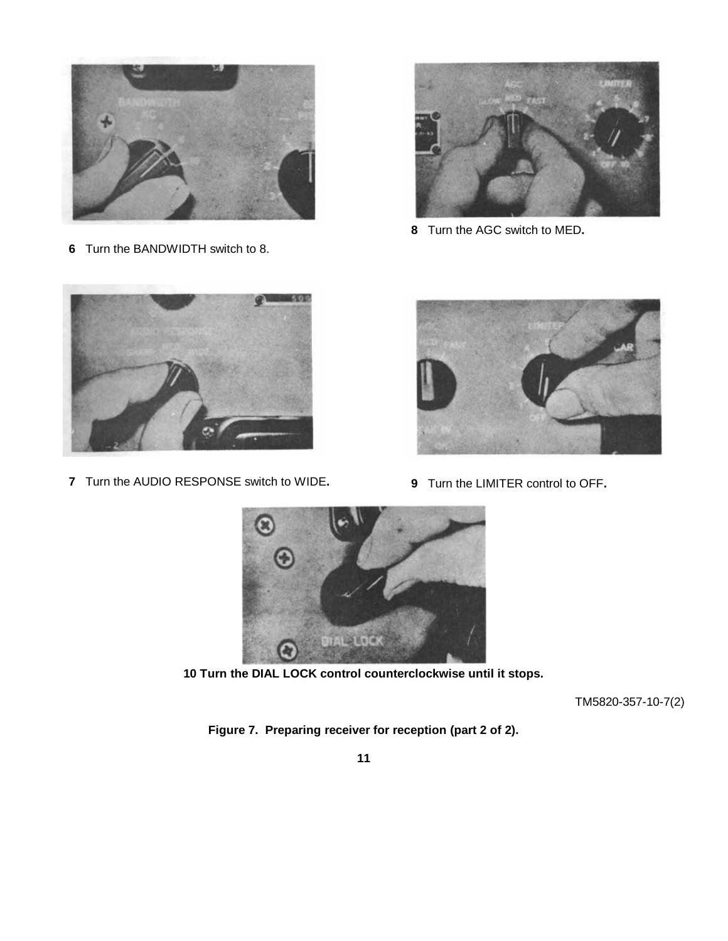

Turn the BANDWIDTH switch to 8.



Turn the AGC switch to MED**.**



Turn the AUDIO RESPONSE switch to WIDE**.**



Turn the LIMITER control to OFF**.**



**10 Turn the DIAL LOCK control counterclockwise until it stops.**

TM5820-357-10-7(2)

**Figure 7. Preparing receiver for reception (part 2 of 2).**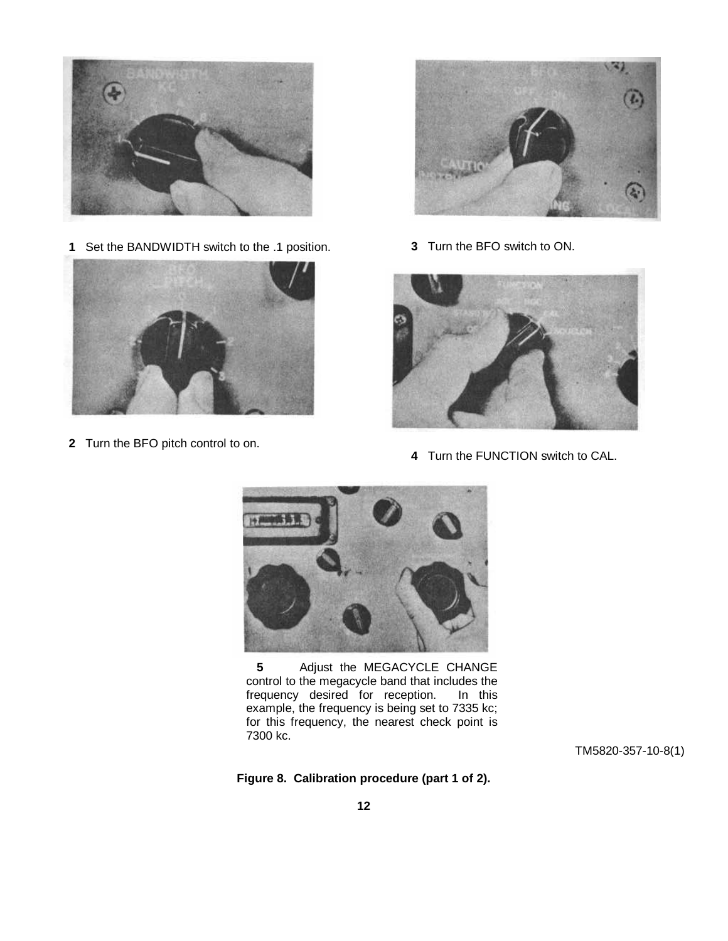<span id="page-14-0"></span>

**1** Set the BANDWIDTH switch to the .1 position.



**2** Turn the BFO pitch control to on.



**3** Turn the BFO switch to ON.



**4** Turn the FUNCTION switch to CAL.



**5** Adjust the MEGACYCLE CHANGE control to the megacycle band that includes the frequency desired for reception. In this example, the frequency is being set to 7335 kc; for this frequency, the nearest check point is 7300 kc.

TM5820-357-10-8(1)

**Figure 8. Calibration procedure (part 1 of 2).**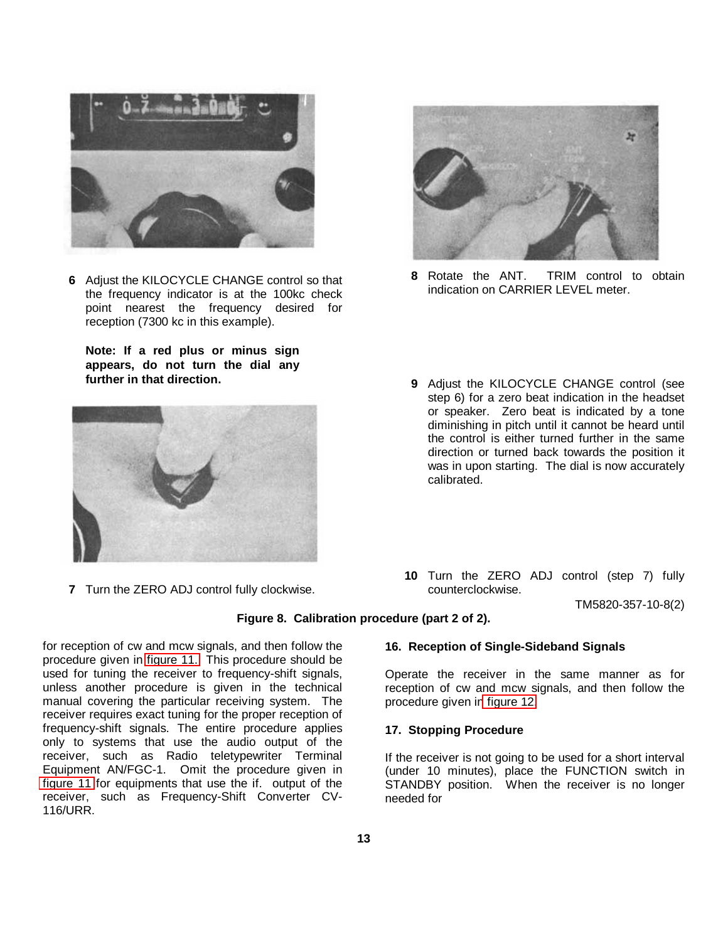<span id="page-15-0"></span>

**6** Adjust the KILOCYCLE CHANGE control so that the frequency indicator is at the 100kc check point nearest the frequency desired for reception (7300 kc in this example).

**Note: If a red plus or minus sign appears, do not turn the dial any further in that direction.**



**7** Turn the ZERO ADJ control fully clockwise.



- **8** Rotate the ANT. TRIM control to obtain indication on CARRIER LEVEL meter.
- **9** Adjust the KILOCYCLE CHANGE control (see step 6) for a zero beat indication in the headset or speaker. Zero beat is indicated by a tone diminishing in pitch until it cannot be heard until the control is either turned further in the same direction or turned back towards the position it was in upon starting. The dial is now accurately calibrated.
- **10** Turn the ZERO ADJ control (step 7) fully counterclockwise.

TM5820-357-10-8(2)

# **Figure 8. Calibration procedure (part 2 of 2).**

for reception of cw and mcw signals, and then follow the procedure given in [figure 11.](#page-22-0) This procedure should be used for tuning the receiver to frequency-shift signals, unless another procedure is given in the technical manual covering the particular receiving system. The receiver requires exact tuning for the proper reception of frequency-shift signals. The entire procedure applies only to systems that use the audio output of the receiver, such as Radio teletypewriter Terminal Equipment AN/FGC-1. Omit the procedure given in [figure 11](#page-22-0) for equipments that use the if. output of the receiver, such as Frequency-Shift Converter CV-116/URR.

**16. Reception of Single-Sideband Signals**

Operate the receiver in the same manner as for reception of cw and mcw signals, and then follow the procedure given i[n figure 12.](#page-24-0)

### **17. Stopping Procedure**

If the receiver is not going to be used for a short interval (under 10 minutes), place the FUNCTION switch in STANDBY position. When the receiver is no longer needed for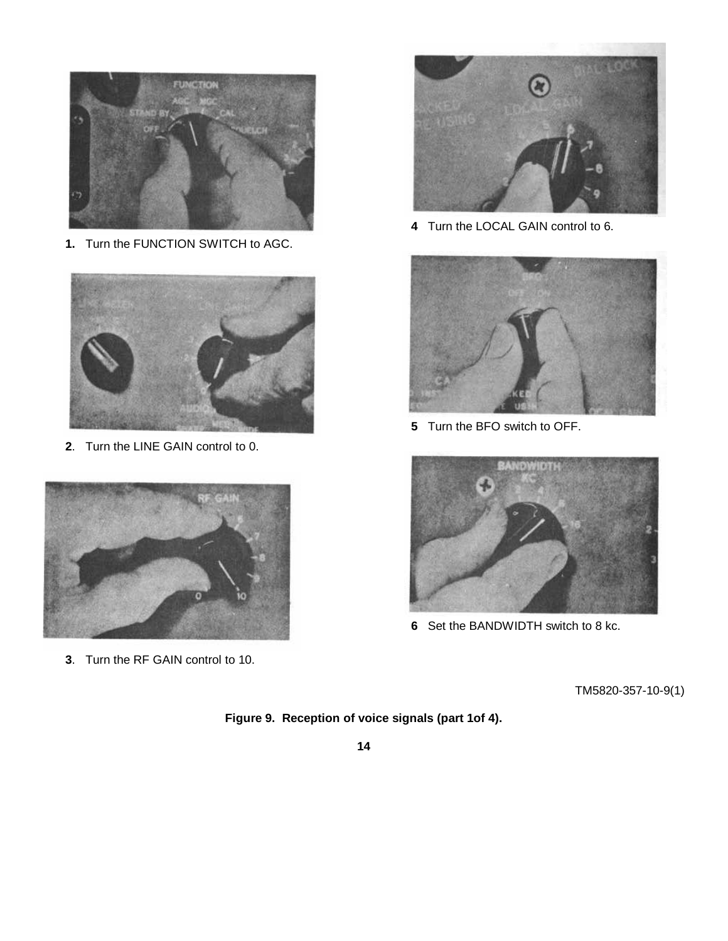<span id="page-16-0"></span>

**1.** Turn the FUNCTION SWITCH to AGC.



. Turn the LINE GAIN control to 0.



. Turn the RF GAIN control to 10.



Turn the LOCAL GAIN control to 6.



Turn the BFO switch to OFF.



Set the BANDWIDTH switch to 8 kc.

TM5820-357-10-9(1)

**Figure 9. Reception of voice signals (part 1of 4).**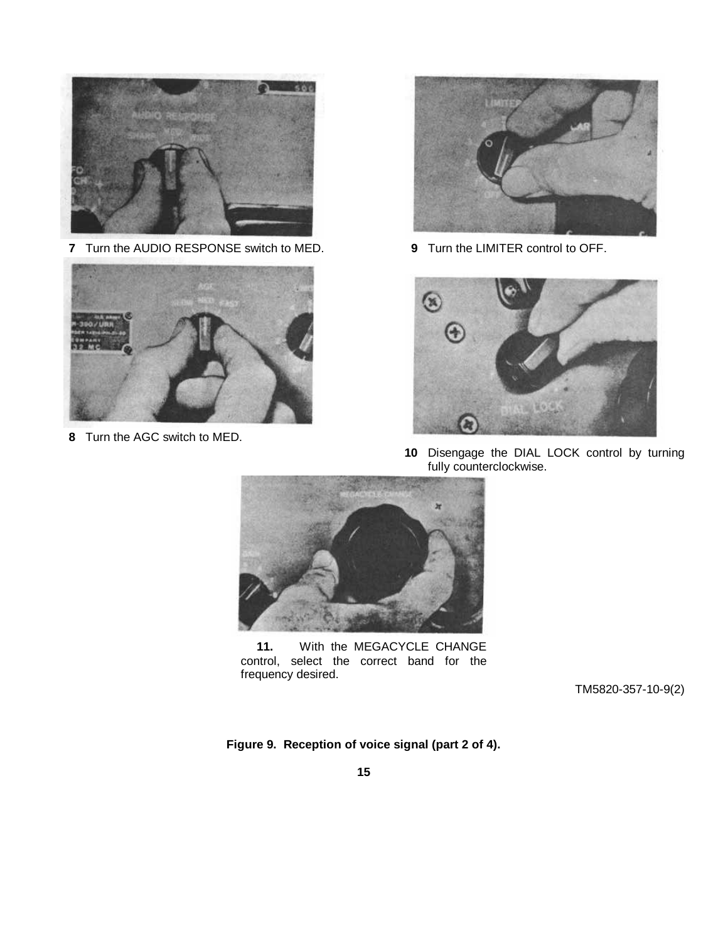

**7** Turn the AUDIO RESPONSE switch to MED.



**8** Turn the AGC switch to MED.



**9** Turn the LIMITER control to OFF.



**10** Disengage the DIAL LOCK control by turning fully counterclockwise.



**11.** With the MEGACYCLE CHANGE control, select the correct band for the frequency desired.

TM5820-357-10-9(2)

**Figure 9. Reception of voice signal (part 2 of 4).**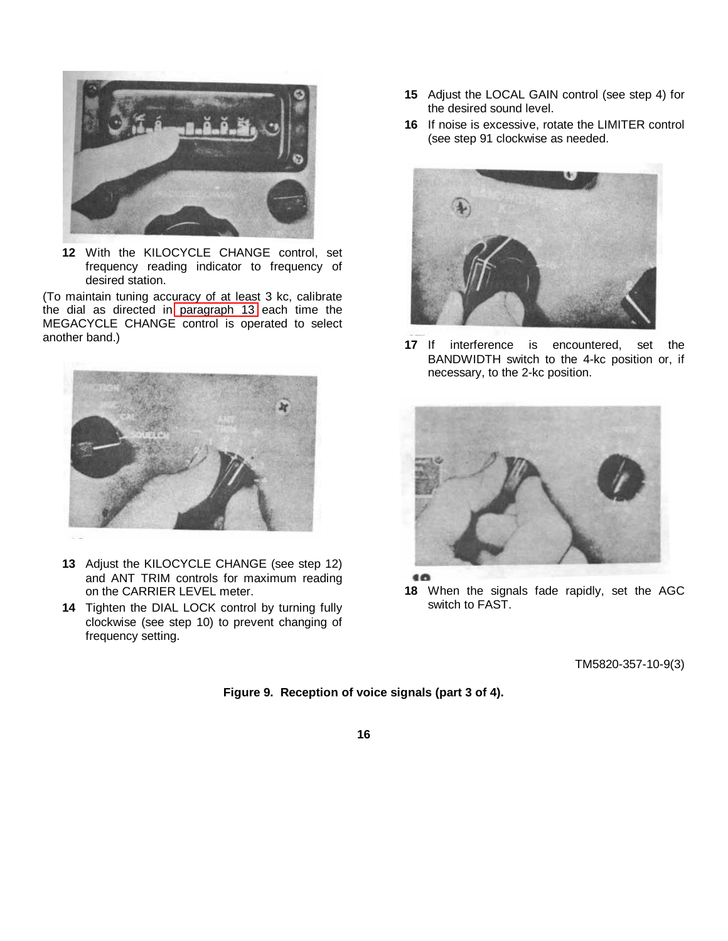

**12** With the KILOCYCLE CHANGE control, set frequency reading indicator to frequency of desired station.

(To maintain tuning accuracy of at least 3 kc, calibrate the dial as directed in [paragraph 13](#page-10-0) each time the MEGACYCLE CHANGE control is operated to select another band.)



- **13** Adjust the KILOCYCLE CHANGE (see step 12) and ANT TRIM controls for maximum reading on the CARRIER LEVEL meter.
- **14** Tighten the DIAL LOCK control by turning fully clockwise (see step 10) to prevent changing of frequency setting.
- **15** Adjust the LOCAL GAIN control (see step 4) for the desired sound level.
- **16** If noise is excessive, rotate the LIMITER control (see step 91 clockwise as needed.



**17** If interference is encountered, set the BANDWIDTH switch to the 4-kc position or, if necessary, to the 2-kc position.



€Ô

**18** When the signals fade rapidly, set the AGC switch to FAST.

TM5820-357-10-9(3)

# **Figure 9. Reception of voice signals (part 3 of 4).**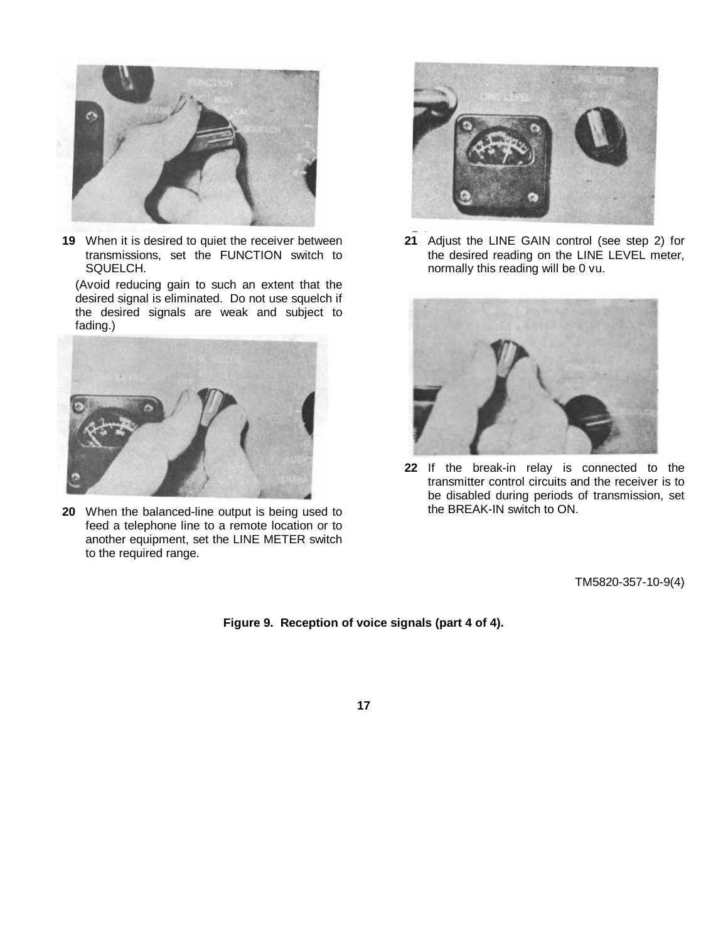

**19** When it is desired to quiet the receiver between transmissions, set the FUNCTION switch to SQUELCH.

(Avoid reducing gain to such an extent that the desired signal is eliminated. Do not use squelch if the desired signals are weak and subject to fading.)



**20** When the balanced-line output is being used to feed a telephone line to a remote location or to another equipment, set the LINE METER switch to the required range.



**21** Adjust the LINE GAIN control (see step 2) for the desired reading on the LINE LEVEL meter, normally this reading will be 0 vu.



**22** If the break-in relay is connected to the transmitter control circuits and the receiver is to be disabled during periods of transmission, set the BREAK-IN switch to ON.

TM5820-357-10-9(4)

**Figure 9. Reception of voice signals (part 4 of 4).**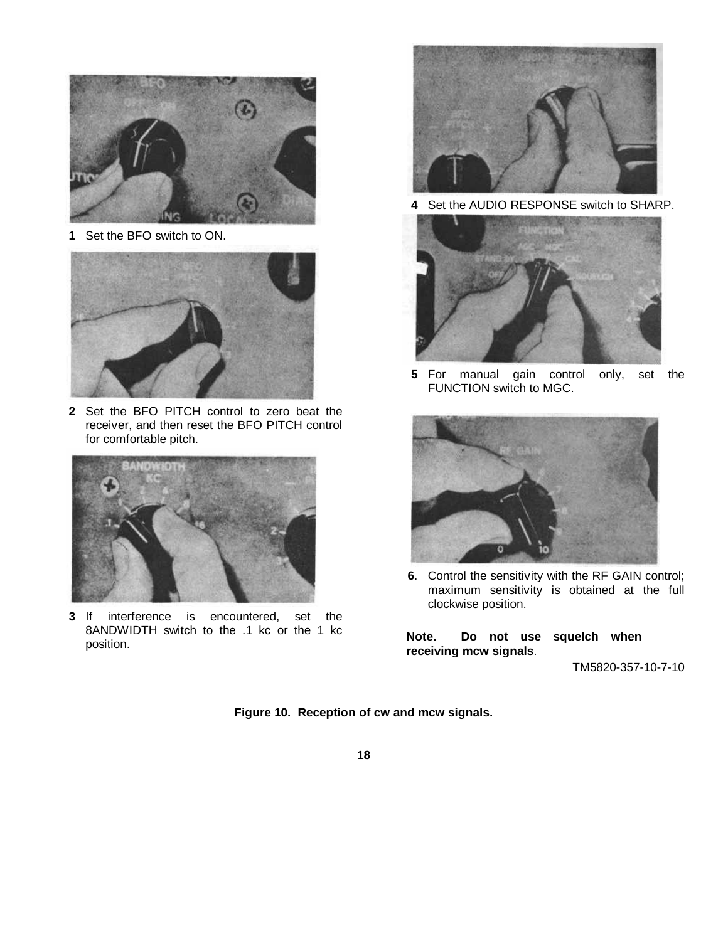<span id="page-20-0"></span>

**1** Set the BFO switch to ON.



**2** Set the BFO PITCH control to zero beat the receiver, and then reset the BFO PITCH control for comfortable pitch.



**3** If interference is encountered, set the 8ANDWIDTH switch to the .1 kc or the 1 kc position.



**4** Set the AUDIO RESPONSE switch to SHARP.



**5** For manual gain control only, set the FUNCTION switch to MGC.



**6**. Control the sensitivity with the RF GAIN control; maximum sensitivity is obtained at the full clockwise position.

**Note. Do not use squelch when receiving mcw signals**.

TM5820-357-10-7-10

**Figure 10. Reception of cw and mcw signals.**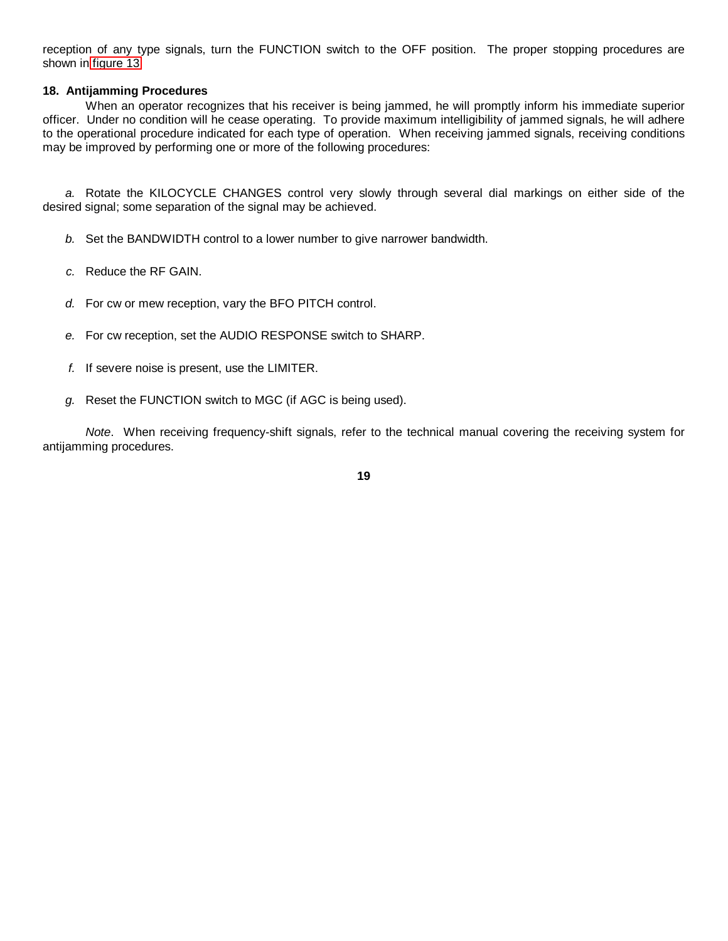<span id="page-21-0"></span>reception of any type signals, turn the FUNCTION switch to the OFF position. The proper stopping procedures are shown in [figure 13.](#page-25-0)

# **18. Antijamming Procedures**

When an operator recognizes that his receiver is being jammed, he will promptly inform his immediate superior officer. Under no condition will he cease operating. To provide maximum intelligibility of jammed signals, he will adhere to the operational procedure indicated for each type of operation. When receiving jammed signals, receiving conditions may be improved by performing one or more of the following procedures:

*a.* Rotate the KILOCYCLE CHANGES control very slowly through several dial markings on either side of the desired signal; some separation of the signal may be achieved.

- *b.* Set the BANDWIDTH control to a lower number to give narrower bandwidth.
- *c.* Reduce the RF GAIN.
- *d.* For cw or mew reception, vary the BFO PITCH control.
- *e.* For cw reception, set the AUDIO RESPONSE switch to SHARP.
- *f.* If severe noise is present, use the LIMITER.
- *g.* Reset the FUNCTION switch to MGC (if AGC is being used).

*Note*. When receiving frequency-shift signals, refer to the technical manual covering the receiving system for antijamming procedures.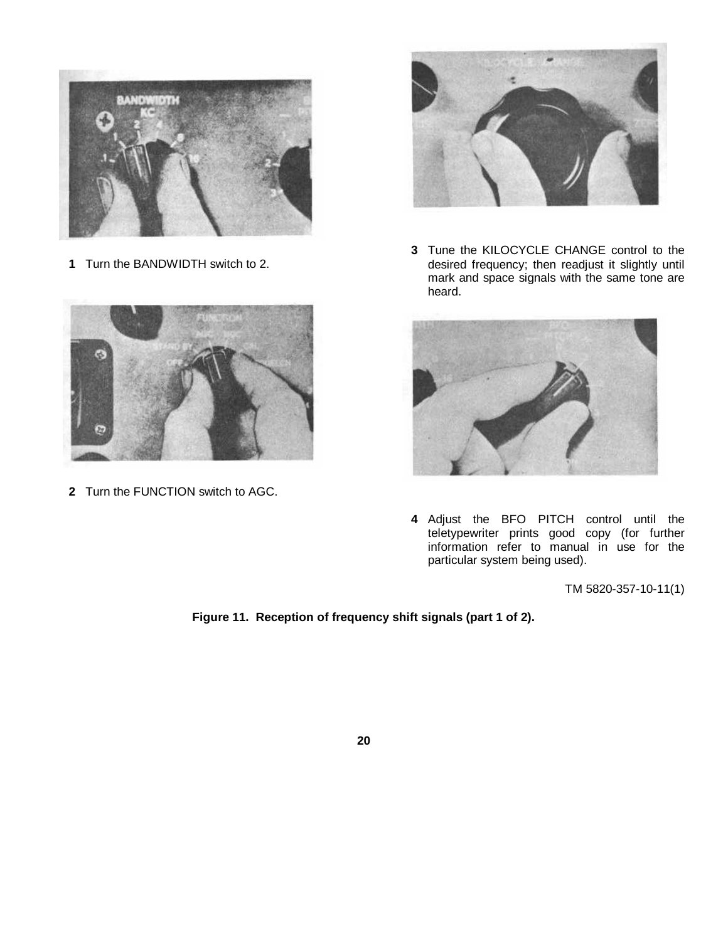<span id="page-22-0"></span>

**1** Turn the BANDWIDTH switch to 2.



**2** Turn the FUNCTION switch to AGC.



**3** Tune the KILOCYCLE CHANGE control to the desired frequency; then readjust it slightly until mark and space signals with the same tone are heard.



**4** Adjust the BFO PITCH control until the teletypewriter prints good copy (for further information refer to manual in use for the particular system being used).

TM 5820-357-10-11(1)

# **Figure 11. Reception of frequency shift signals (part 1 of 2).**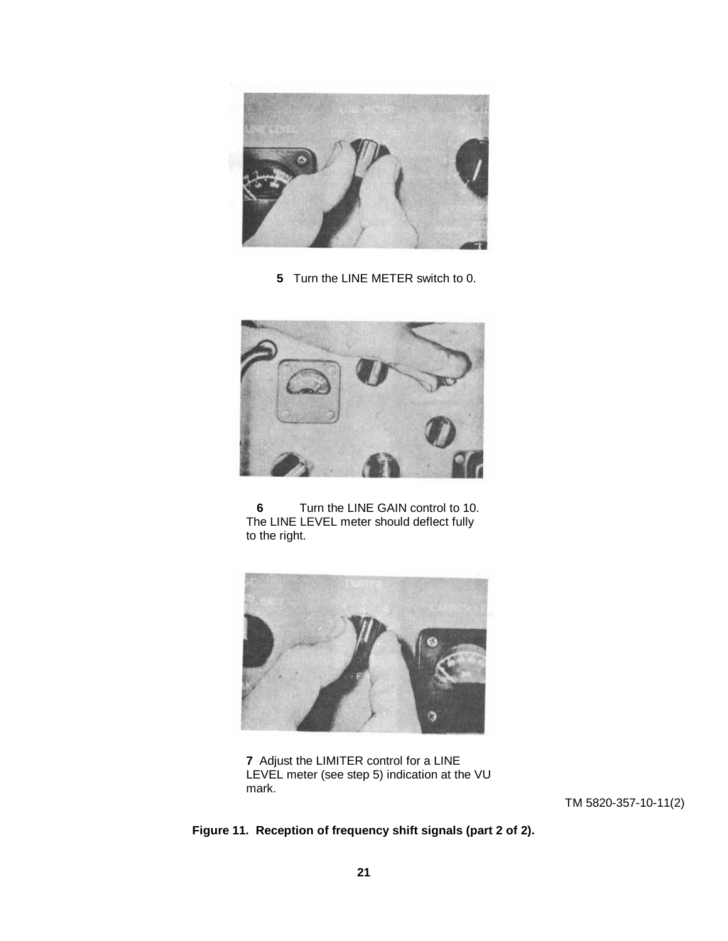

**5** Turn the LINE METER switch to 0.



**6** Turn the LINE GAIN control to 10. The LINE LEVEL meter should deflect fully to the right.



**7** Adjust the LIMITER control for a LINE LEVEL meter (see step 5) indication at the VU mark.

TM 5820-357-10-11(2)

# **Figure 11. Reception of frequency shift signals (part 2 of 2).**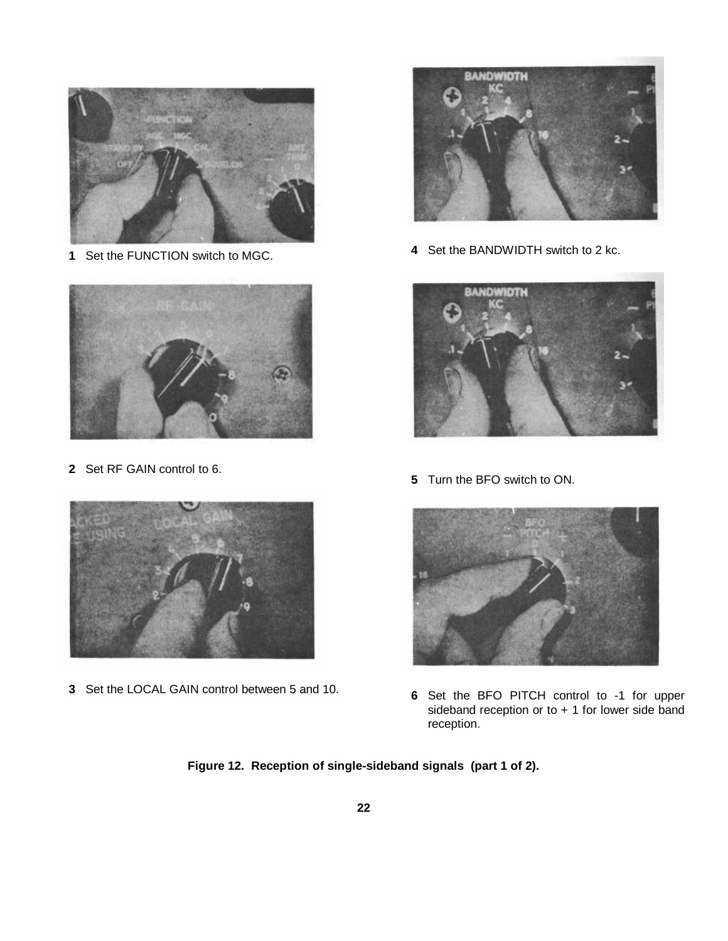<span id="page-24-0"></span>

Set the FUNCTION switch to MGC.



Set RF GAIN control to 6.



Set the LOCAL GAIN control between 5 and 10.



Set the BANDWIDTH switch to 2 kc.



Turn the BFO switch to ON.



 Set the BFO PITCH control to -1 for upper sideband reception or to  $+1$  for lower side band reception.

**Figure 12. Reception of single-sideband signals (part 1 of 2).**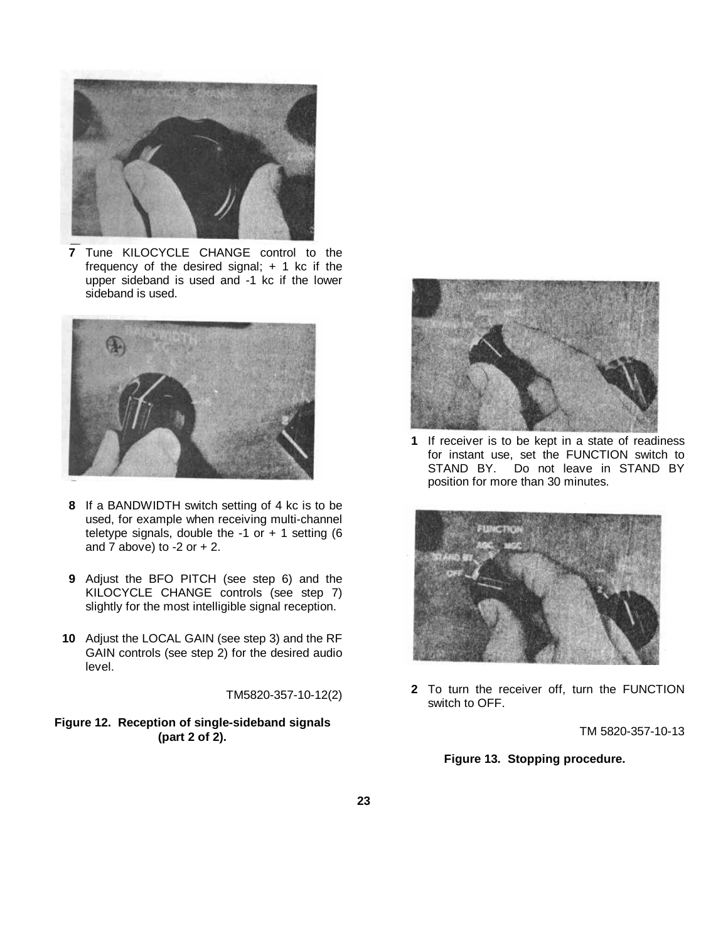<span id="page-25-0"></span>

**7** Tune KILOCYCLE CHANGE control to the frequency of the desired signal;  $+$  1 kc if the upper sideband is used and -1 kc if the lower sideband is used.



- **8** If a BANDWIDTH switch setting of 4 kc is to be used, for example when receiving multi-channel teletype signals, double the  $-1$  or  $+ 1$  setting (6 and 7 above) to  $-2$  or  $+2$ .
- **9** Adjust the BFO PITCH (see step 6) and the KILOCYCLE CHANGE controls (see step 7) slightly for the most intelligible signal reception.
- **10** Adjust the LOCAL GAIN (see step 3) and the RF GAIN controls (see step 2) for the desired audio level.

TM5820-357-10-12(2)

# **Figure 12. Reception of single-sideband signals (part 2 of 2).**



**1** If receiver is to be kept in a state of readiness for instant use, set the FUNCTION switch to STAND BY. Do not leave in STAND BY position for more than 30 minutes.



**2** To turn the receiver off, turn the FUNCTION switch to OFF.

TM 5820-357-10-13

**Figure 13. Stopping procedure.**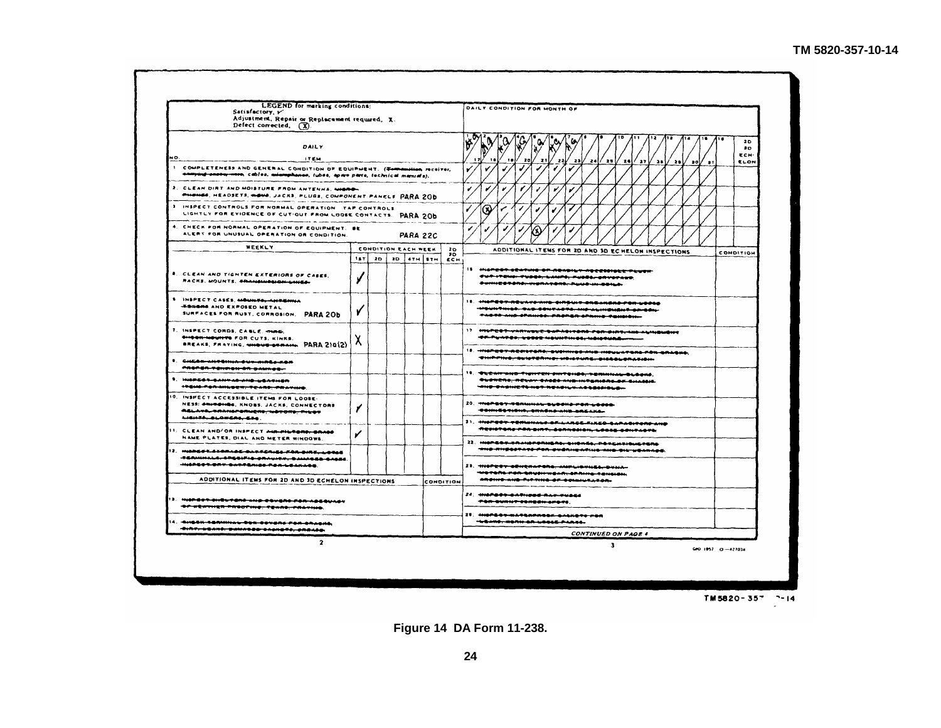|     | <b>LEGEND</b> for marking conditions:<br>Satisfactory, v<br>Adjustment, Repair or Replacement required. X.<br>Defect corrected, (X)                                                                                                                            |     |                     |  |                   |                |   | DAILY CONDITION FOR MONTH OF                                                                                                                              |
|-----|----------------------------------------------------------------------------------------------------------------------------------------------------------------------------------------------------------------------------------------------------------------|-----|---------------------|--|-------------------|----------------|---|-----------------------------------------------------------------------------------------------------------------------------------------------------------|
| NO. | DAILY<br><b>ITEM</b>                                                                                                                                                                                                                                           |     |                     |  |                   |                |   | 20<br>$\bullet$<br>ECH-<br>18.<br>20 I<br>$\mathbf{z}$<br>-221<br>-23 L<br>24 / 25<br>24<br>27<br>28<br>20<br>ELON<br>. a o l<br>- 11                     |
|     | 1. COMPLETENESS AND GENERAL CONDITION OF EQUIPMENT. (Tommention receiver,<br>annying enotay-men, cables, mismphanes, lubes, apare parts, technical manuals).                                                                                                   |     |                     |  |                   |                |   |                                                                                                                                                           |
|     | 2. CLEAN DIRT AND MOISTURE FROM ANTENNA, MIGRO-<br><b>PHONES, HEADSETS, WOWS, JACKS, PLUGS, COMPONENT PANELS PARA 200</b><br>3 INSPECT CONTROLS FOR NORMAL OPERATION TAP CONTROLS                                                                              |     |                     |  |                   |                |   |                                                                                                                                                           |
|     | LIGHTLY FOR EVIDENCE OF CUT-OUT FROM LOOSE CONTACTS. PARA 20b<br>4. CHECK FOR NORMAL OPERATION OF EQUIPMENT. BE                                                                                                                                                |     |                     |  |                   |                | ✔ | ⊛                                                                                                                                                         |
|     | ALERT FOR UNUSUAL OPERATION OR CONDITION.<br>WEEKLY                                                                                                                                                                                                            |     | CONDITION EACH WEEK |  | <b>PARA 22C</b>   | 2 <sub>D</sub> |   | ADDITIONAL ITEMS FOR 2D AND 3D ECHELON INSPECTIONS                                                                                                        |
|     |                                                                                                                                                                                                                                                                | 18T | 20 I                |  | <b>3D</b> STH STH | - 10<br>ECH.   |   | CONDITION                                                                                                                                                 |
|     | <b>R. CLEAN AND TIGHTEN EXTERIORS OF CASES.</b><br>RACKS, MOUNTS, SRANGHION-DINES-                                                                                                                                                                             |     |                     |  |                   |                |   | IS HIGHERS GEATING OF READILY ACCESSIBLE FLUER<br>Gut-Italia: Tubbi-Lillith; rusde-anvetaus,<br>SUMICORONO, UIGRAPORO, PUMO IN SONA,                      |
|     | <b>S. INSPECT CASES, MOUNTS, ANTIGHIA</b><br><b>-BUGHS AND EXPOSED METAL</b><br>SURFACES FOR RUST, CORROSION. PARA 20b                                                                                                                                         |     |                     |  |                   |                |   | II. HIGPEST-RELAYS-NIG-SIREULE-ENEAKERS-POR-LOOG<br>-MENINTHIOS, SAS-SONYASTO, MID-ALINGMENT-SE-SON-<br>TACTO AND CRAINED. PROPER CRAINS FEHROLL.         |
|     | 7. INSPECT CORDS, CABLE, ming.<br><b>SHOOK-MOUNTS FOR CUTS, KINKS,</b><br><b>BREAKS, FRAYING, WHOUS-SERAIN. PARA 210(2)</b>                                                                                                                                    | A   |                     |  |                   |                |   | 17 - MOPERT-YARINGEE-BAPASITARA-POR-BIRT-NIA ALINGWENT<br>********** <del>*************************</del>                                                 |
|     | I. CHEAR-ANTONIA-DUR-MARG-KOR<br>PROPER-TENTION-DR-DAWNOG-                                                                                                                                                                                                     |     |                     |  |                   |                |   | 18. HNOPERT-RESISTARS: EUSHINGS-AND HISULATORS-PAN-ERAGUS,<br>THIRFING, BEISTERING, WOISTURE, DISSOLORATION.                                              |
|     | 1. HISPECT-SANTAS-AND-UEATHER<br>$+$ + 0 $-$ 0 $-$ 0 $-$ 0 $-$ 0 $-$ 0 $-$ 0 $-$ 0 $-$ 0 $-$ 0 $-$ 0 $-$ 0 $-$ 0 $-$ 0 $-$ 0 $-$ 0 $-$ 0 $-$ 0 $-$ 0 $-$ 0 $-$ 0 $-$ 0 $-$ 0 $-$ 0 $-$ 0 $-$ 0 $-$ 0 $-$ 0 $-$ 0 $-$ 0 $-$ 0 $-$ 0 $-$ 0 $-$ 0 $-$ 0 $-$ 0 $-$ |     |                     |  |                   |                |   | 18. TERMINID TIENTEN SINTEHBO, TERMINAL-BLOOKS.<br>OUDHERS, RESAY CASES AND INFORMAL OF GILLION.<br>THE SASHETS HOT READILY ASSESSING.                    |
|     | <b>IO. INSPECT ACCESSIBLE ITEMS FOR LOOSE-</b><br>NESS: ONIGONOS, KNOBS, JACKS, CONNECTORS<br>ASLAYA, RAANSPONICAS, NOTORS, PILOT<br>LIBHTA, BLOWERS, EZG.                                                                                                     |     |                     |  |                   |                |   | 20. <del>- Michaely - Tanumak, byedna ron Locca.</del><br><b>TOMMESTIONS, CRASHOWING BREAKA-</b>                                                          |
|     | II. CLEAN AND/OR INSPECT <del>AUG PILTORS, GRASS</del><br>NAME PLATES, DIAL AND METER WINDOWS.                                                                                                                                                                 |     |                     |  |                   |                |   | 21. HISPERY REMAINANCE-BE-LARGE-ELKED-GARAGIRORD-AND<br>RESISTANS FOR SIRT, SCRASSION, LOCAL CONTACTS<br>22. HISPEST-TRANSFORMERS, SHORES, POTENTIONSTERS |
|     | 12. HIGHEGT STARAGE-BATTERIES-FRAIGHTT-LOGES<br><b>TERMINALE, EREBIFIE-BRAULTH, BAMABED-BAGES.</b><br>HIGREST ORT CATTERIES FOR LEAKAGE.                                                                                                                       |     |                     |  |                   |                |   | THE RHESSTATE FOR SYSRIGATING AND SIG WEARASE.<br>23. WISPERY GENERATORS, MIPLIONIES, DUMA-                                                               |
|     | ADDITIONAL ITEMS FOR 2D AND 3D ECHELON INSPECTIONS                                                                                                                                                                                                             |     |                     |  |                   | CONDITION      |   | -WOTORS-FOR-GRUSH-WEAR-SPRING-FENGISH<br>ARCHIT AND THE TING OF COMMULATION-                                                                              |
|     | ). Hyspear-skiburens-kup abusho fon-hosquhav                                                                                                                                                                                                                   |     |                     |  |                   |                |   | 24. MIGPERT-GARINGER BAN-TUBES<br>TOR-DURNT-DERECH-APAPE                                                                                                  |

IT. HI<del>OPEST-WATERPRODE-SALIETS FOR</del> -MANIO, HONH OR WOOLE PARTS.

**CONTINUED ON PAGE 4** 

 $\mathbf{3}^-$ 

<span id="page-26-0"></span>NO.

وبعود

THER PROUTING, TEARS, FAATING.

 $\overline{\mathbf{2}}$ 

- 4:1551-1501:11:12-551-001:50-004-004-01:10<br>-SIAT-55410, DAMADOD-0401570, CASAGO.

TM5820-357 7-14

GPO 1957 (3-427034)

**Figure 14 DA Form 11-238.**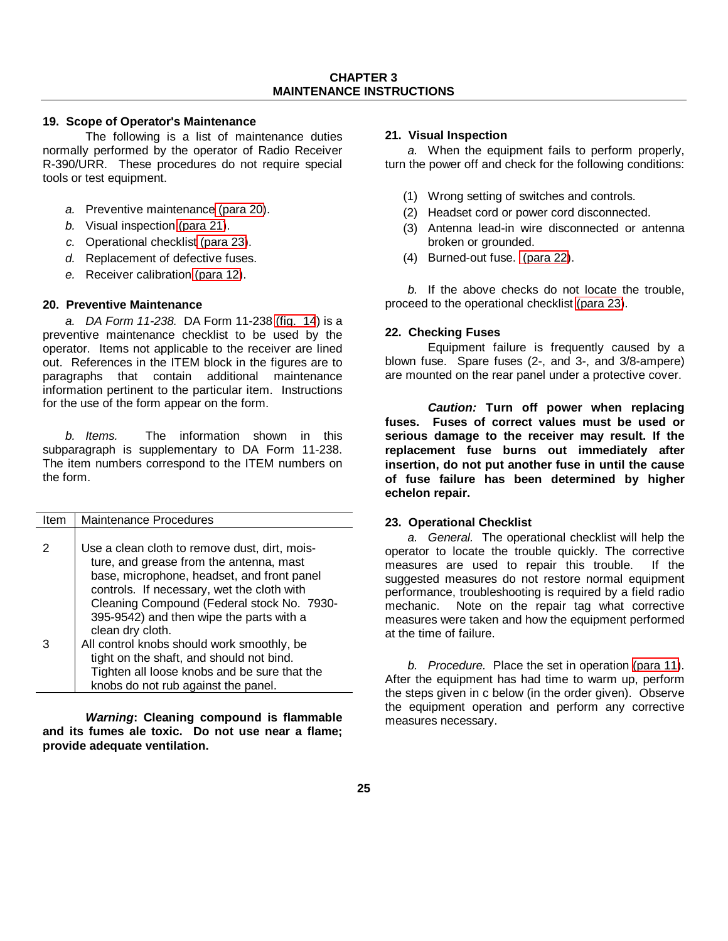## <span id="page-27-1"></span>**19. Scope of Operator's Maintenance**

<span id="page-27-0"></span>The following is a list of maintenance duties normally performed by the operator of Radio Receiver R-390/URR. These procedures do not require special tools or test equipment.

- *a.* Preventive maintenance [\(para 20\)](#page-27-1).
- *b.* Visual inspection [\(para 21\)](#page-27-1).
- *c.* Operational checklist [\(para 23\)](#page-27-1).
- *d.* Replacement of defective fuses.
- *e.* Receiver calibration [\(para 12\)](#page-10-0).

# **20. Preventive Maintenance**

*a. DA Form 11-238.* DA Form 11-238 [\(fig. 14](#page-26-0)) is a preventive maintenance checklist to be used by the operator. Items not applicable to the receiver are lined out. References in the ITEM block in the figures are to paragraphs that contain additional maintenance information pertinent to the particular item. Instructions for the use of the form appear on the form.

*b. Items.* The information shown in this subparagraph is supplementary to DA Form 11-238. The item numbers correspond to the ITEM numbers on the form.

| Item | Maintenance Procedures                        |
|------|-----------------------------------------------|
|      |                                               |
| 2    | Use a clean cloth to remove dust, dirt, mois- |
|      | ture, and grease from the antenna, mast       |
|      | base, microphone, headset, and front panel    |
|      | controls. If necessary, wet the cloth with    |
|      | Cleaning Compound (Federal stock No. 7930-    |
|      | 395-9542) and then wipe the parts with a      |
|      | clean dry cloth.                              |
| З    | All control knobs should work smoothly, be    |
|      | tight on the shaft, and should not bind.      |
|      | Tighten all loose knobs and be sure that the  |
|      | knobs do not rub against the panel.           |

*Warning***: Cleaning compound is flammable and its fumes ale toxic. Do not use near a flame; provide adequate ventilation.**

## **21. Visual Inspection**

*a.* When the equipment fails to perform properly, turn the power off and check for the following conditions:

- (1) Wrong setting of switches and controls.
- (2) Headset cord or power cord disconnected.
- (3) Antenna lead-in wire disconnected or antenna broken or grounded.
- (4) Burned-out fuse. [\(para 22\)](#page-27-1).

*b.* If the above checks do not locate the trouble, proceed to the operational checklist [\(para 23\)](#page-27-1).

## **22. Checking Fuses**

Equipment failure is frequently caused by a blown fuse. Spare fuses (2-, and 3-, and 3/8-ampere) are mounted on the rear panel under a protective cover.

*Caution:* **Turn off power when replacing fuses. Fuses of correct values must be used or serious damage to the receiver may result. If the replacement fuse burns out immediately after insertion, do not put another fuse in until the cause of fuse failure has been determined by higher echelon repair.**

### **23. Operational Checklist**

*a. General.* The operational checklist will help the operator to locate the trouble quickly. The corrective measures are used to repair this trouble. If the suggested measures do not restore normal equipment performance, troubleshooting is required by a field radio mechanic. Note on the repair tag what corrective measures were taken and how the equipment performed at the time of failure.

*b. Procedure.* Place the set in operation [\(para 11\)](#page-10-0). After the equipment has had time to warm up, perform the steps given in c below (in the order given). Observe the equipment operation and perform any corrective measures necessary.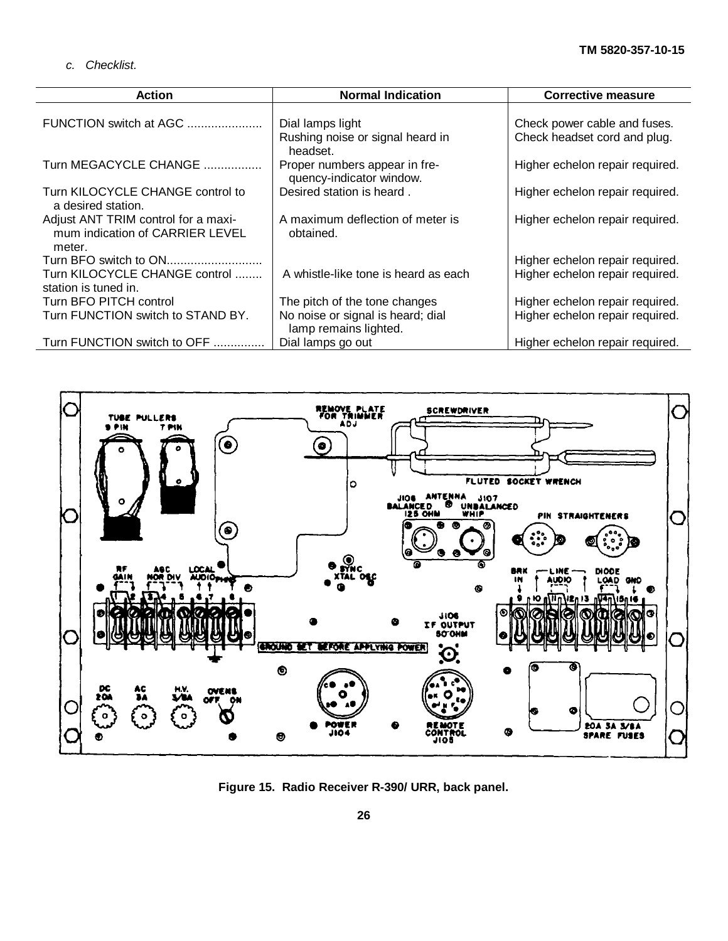*c. Checklist.*

<span id="page-28-0"></span>

| <b>Action</b>                                                                    | <b>Normal Indication</b>                                   | <b>Corrective measure</b>       |
|----------------------------------------------------------------------------------|------------------------------------------------------------|---------------------------------|
| FUNCTION switch at AGC                                                           | Dial lamps light                                           | Check power cable and fuses.    |
|                                                                                  | Rushing noise or signal heard in<br>headset.               | Check headset cord and plug.    |
| Turn MEGACYCLE CHANGE                                                            | Proper numbers appear in fre-<br>quency-indicator window.  | Higher echelon repair required. |
| Turn KILOCYCLE CHANGE control to<br>a desired station.                           | Desired station is heard.                                  | Higher echelon repair required. |
| Adjust ANT TRIM control for a maxi-<br>mum indication of CARRIER LEVEL<br>meter. | A maximum deflection of meter is<br>obtained.              | Higher echelon repair required. |
| Turn BFO switch to ON                                                            |                                                            | Higher echelon repair required. |
| Turn KILOCYCLE CHANGE control<br>station is tuned in.                            | A whistle-like tone is heard as each                       | Higher echelon repair required. |
| Turn BFO PITCH control                                                           | The pitch of the tone changes                              | Higher echelon repair required. |
| Turn FUNCTION switch to STAND BY.                                                | No noise or signal is heard; dial<br>lamp remains lighted. | Higher echelon repair required. |
| Turn FUNCTION switch to OFF                                                      | Dial lamps go out                                          | Higher echelon repair required. |



**Figure 15. Radio Receiver R-390/ URR, back panel.**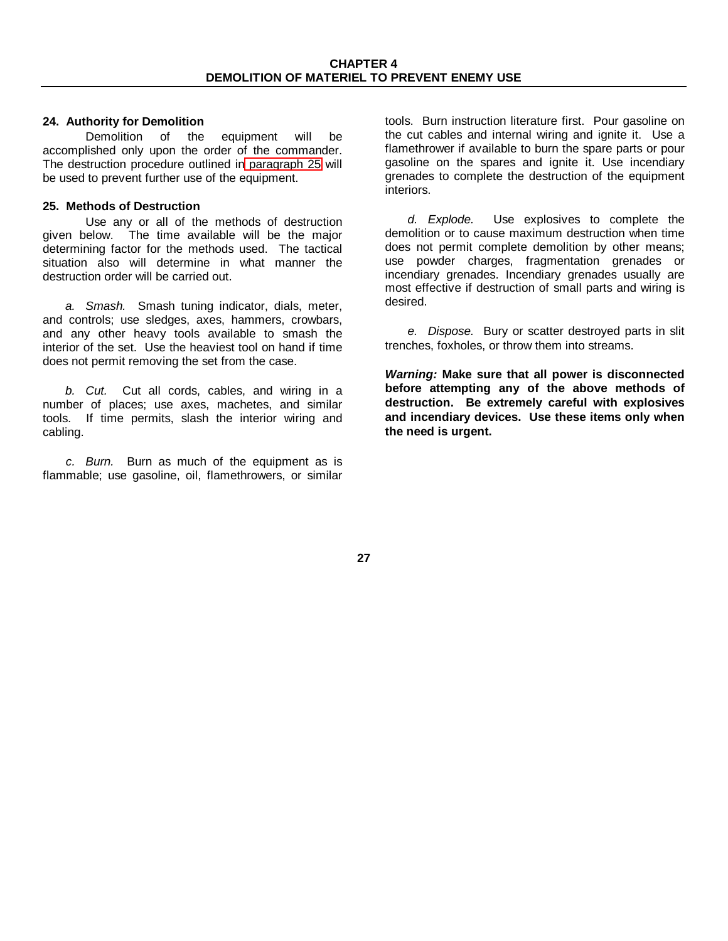# <span id="page-29-0"></span>**24. Authority for Demolition**

Demolition of the equipment will be accomplished only upon the order of the commander. The destruction procedure outlined in [paragraph 25](#page-29-0) will be used to prevent further use of the equipment.

# **25. Methods of Destruction**

Use any or all of the methods of destruction given below. The time available will be the major determining factor for the methods used. The tactical situation also will determine in what manner the destruction order will be carried out.

*a. Smash.* Smash tuning indicator, dials, meter, and controls; use sledges, axes, hammers, crowbars, and any other heavy tools available to smash the interior of the set. Use the heaviest tool on hand if time does not permit removing the set from the case.

*b. Cut.* Cut all cords, cables, and wiring in a number of places; use axes, machetes, and similar tools. If time permits, slash the interior wiring and cabling.

*c. Burn.* Burn as much of the equipment as is flammable; use gasoline, oil, flamethrowers, or similar

tools. Burn instruction literature first. Pour gasoline on the cut cables and internal wiring and ignite it. Use a flamethrower if available to burn the spare parts or pour gasoline on the spares and ignite it. Use incendiary grenades to complete the destruction of the equipment interiors.

*d. Explode.* Use explosives to complete the demolition or to cause maximum destruction when time does not permit complete demolition by other means; use powder charges, fragmentation grenades or incendiary grenades. Incendiary grenades usually are most effective if destruction of small parts and wiring is desired.

*e. Dispose.* Bury or scatter destroyed parts in slit trenches, foxholes, or throw them into streams.

*Warning:* **Make sure that all power is disconnected before attempting any of the above methods of destruction. Be extremely careful with explosives and incendiary devices. Use these items only when the need is urgent.**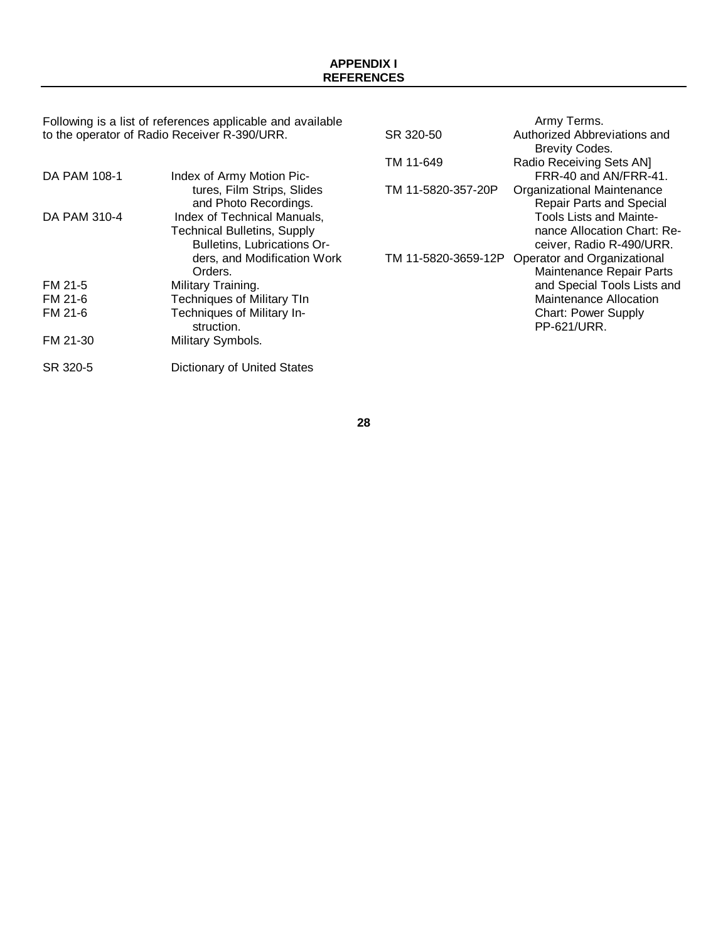<span id="page-30-0"></span>Following is a list of references applicable and available to the operator of Radio Receiver R-390/URR.

| DA PAM 108-1 | Index of Army Motion Pic-<br>tures, Film Strips, Slides<br>and Photo Recordings.                                                           |
|--------------|--------------------------------------------------------------------------------------------------------------------------------------------|
| DA PAM 310-4 | Index of Technical Manuals,<br><b>Technical Bulletins, Supply</b><br>Bulletins, Lubrications Or-<br>ders, and Modification Work<br>Orders. |
| FM 21-5      | Military Training.                                                                                                                         |
| FM 21-6      | <b>Techniques of Military TIn</b>                                                                                                          |
| FM 21-6      | Techniques of Military In-<br>struction.                                                                                                   |
| FM 21-30     | Military Symbols.                                                                                                                          |
| SR 320-5     | Dictionary of United States                                                                                                                |

|                     | Army Terms.                     |
|---------------------|---------------------------------|
| SR 320-50           | Authorized Abbreviations and    |
|                     | <b>Brevity Codes.</b>           |
| TM 11-649           | Radio Receiving Sets AN]        |
|                     | FRR-40 and AN/FRR-41.           |
| TM 11-5820-357-20P  | Organizational Maintenance      |
|                     | <b>Repair Parts and Special</b> |
|                     | <b>Tools Lists and Mainte-</b>  |
|                     | nance Allocation Chart: Re-     |
|                     | ceiver, Radio R-490/URR.        |
| TM 11-5820-3659-12P | Operator and Organizational     |
|                     | Maintenance Repair Parts        |
|                     | and Special Tools Lists and     |
|                     | Maintenance Allocation          |
|                     | <b>Chart: Power Supply</b>      |
|                     | PP-621/URR.                     |
|                     |                                 |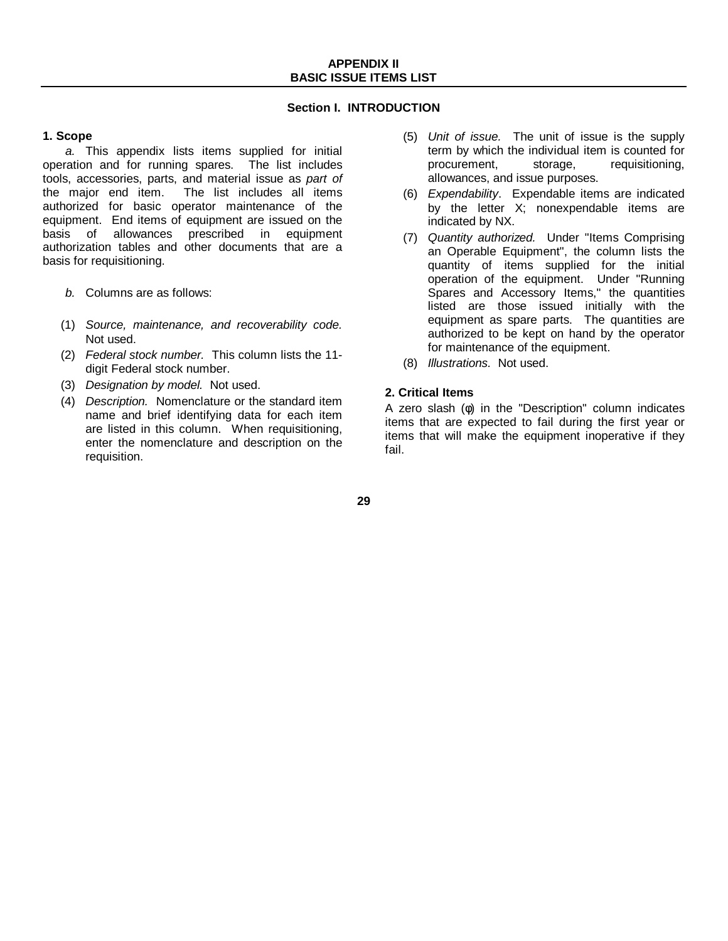# **Section I. INTRODUCTION**

# <span id="page-31-0"></span>**1. Scope**

*a.* This appendix lists items supplied for initial operation and for running spares. The list includes tools, accessories, parts, and material issue as *part of* the major end item. The list includes all items authorized for basic operator maintenance of the equipment. End items of equipment are issued on the basis of allowances prescribed in equipment authorization tables and other documents that are a basis for requisitioning.

- *b.* Columns are as follows:
- (1) *Source, maintenance, and recoverability code.* Not used.
- (2) *Federal stock number.* This column lists the 11 digit Federal stock number.
- (3) *Designation by model.* Not used.
- (4) *Description.* Nomenclature or the standard item name and brief identifying data for each item are listed in this column. When requisitioning, enter the nomenclature and description on the requisition.
- (5) *Unit of issue.* The unit of issue is the supply term by which the individual item is counted for procurement, storage, requisitioning, allowances, and issue purposes.
- (6) *Expendability*. Expendable items are indicated by the letter X; nonexpendable items are indicated by NX.
- (7) *Quantity authorized.* Under "Items Comprising an Operable Equipment", the column lists the quantity of items supplied for the initial operation of the equipment. Under "Running Spares and Accessory Items," the quantities listed are those issued initially with the equipment as spare parts. The quantities are authorized to be kept on hand by the operator for maintenance of the equipment.
- (8) *Illustrations.* Not used.

# **2. Critical Items**

A zero slash (φ) in the "Description" column indicates items that are expected to fail during the first year or items that will make the equipment inoperative if they fail.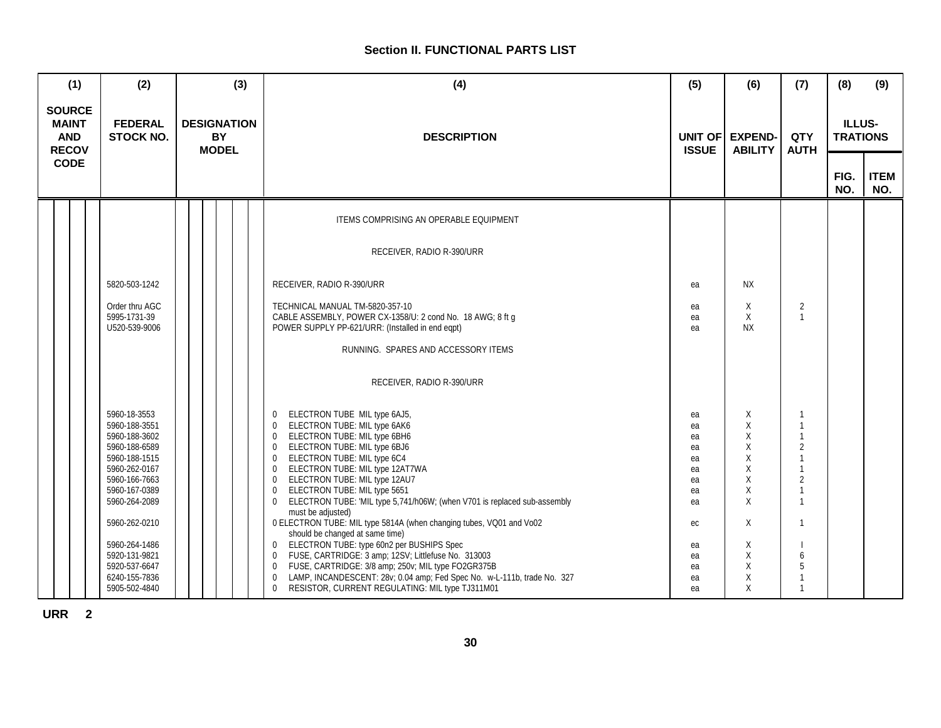# **Section II. FUNCTIONAL PARTS LIST**

| (1)                                                                        |  | (2)                                                                                                                                                                   |                                                 |                                     |                    | (3) | (4)                                                                                                                                                                                                                                                                                                                                                                                                                                                                                                                                                                              | (5)                                                      | (6)                                            | (7)                                                                | (8)         | (9)                |
|----------------------------------------------------------------------------|--|-----------------------------------------------------------------------------------------------------------------------------------------------------------------------|-------------------------------------------------|-------------------------------------|--------------------|-----|----------------------------------------------------------------------------------------------------------------------------------------------------------------------------------------------------------------------------------------------------------------------------------------------------------------------------------------------------------------------------------------------------------------------------------------------------------------------------------------------------------------------------------------------------------------------------------|----------------------------------------------------------|------------------------------------------------|--------------------------------------------------------------------|-------------|--------------------|
| <b>SOURCE</b><br><b>MAINT</b><br><b>AND</b><br><b>RECOV</b><br><b>CODE</b> |  | <b>FEDERAL</b><br><b>STOCK NO.</b>                                                                                                                                    | <b>DESIGNATION</b><br><b>BY</b><br><b>MODEL</b> |                                     | <b>DESCRIPTION</b> |     | UNIT OF<br><b>ISSUE</b>                                                                                                                                                                                                                                                                                                                                                                                                                                                                                                                                                          | <b>EXPEND-</b><br><b>ABILITY</b>                         | QTY<br><b>AUTH</b>                             | <b>ILLUS-</b><br><b>TRATIONS</b>                                   |             |                    |
|                                                                            |  |                                                                                                                                                                       |                                                 |                                     |                    |     |                                                                                                                                                                                                                                                                                                                                                                                                                                                                                                                                                                                  |                                                          |                                                |                                                                    | FIG.<br>NO. | <b>ITEM</b><br>NO. |
|                                                                            |  |                                                                                                                                                                       |                                                 |                                     |                    |     | ITEMS COMPRISING AN OPERABLE EQUIPMENT                                                                                                                                                                                                                                                                                                                                                                                                                                                                                                                                           |                                                          |                                                |                                                                    |             |                    |
|                                                                            |  |                                                                                                                                                                       |                                                 |                                     |                    |     | RECEIVER, RADIO R-390/URR                                                                                                                                                                                                                                                                                                                                                                                                                                                                                                                                                        |                                                          |                                                |                                                                    |             |                    |
|                                                                            |  | 5820-503-1242                                                                                                                                                         |                                                 |                                     |                    |     | RECEIVER, RADIO R-390/URR                                                                                                                                                                                                                                                                                                                                                                                                                                                                                                                                                        | ea                                                       | <b>NX</b>                                      |                                                                    |             |                    |
|                                                                            |  | Order thru AGC<br>5995-1731-39<br>U520-539-9006                                                                                                                       |                                                 |                                     |                    |     | TECHNICAL MANUAL TM-5820-357-10<br>CABLE ASSEMBLY, POWER CX-1358/U: 2 cond No. 18 AWG; 8 ft g<br>POWER SUPPLY PP-621/URR: (Installed in end eqpt)                                                                                                                                                                                                                                                                                                                                                                                                                                | ea<br>ea<br>ea                                           | Χ<br>X<br><b>NX</b>                            | $\overline{2}$                                                     |             |                    |
|                                                                            |  |                                                                                                                                                                       |                                                 | RUNNING. SPARES AND ACCESSORY ITEMS |                    |     |                                                                                                                                                                                                                                                                                                                                                                                                                                                                                                                                                                                  |                                                          |                                                |                                                                    |             |                    |
|                                                                            |  |                                                                                                                                                                       |                                                 |                                     |                    |     | RECEIVER, RADIO R-390/URR                                                                                                                                                                                                                                                                                                                                                                                                                                                                                                                                                        |                                                          |                                                |                                                                    |             |                    |
|                                                                            |  | 5960-18-3553<br>5960-188-3551<br>5960-188-3602<br>5960-188-6589<br>5960-188-1515<br>5960-262-0167<br>5960-166-7663<br>5960-167-0389<br>5960-264-2089<br>5960-262-0210 |                                                 |                                     |                    |     | ELECTRON TUBE MIL type 6AJ5,<br>$\mathbf{0}$<br>ELECTRON TUBE: MIL type 6AK6<br>$\mathbf 0$<br>ELECTRON TUBE: MIL type 6BH6<br>$\mathbf 0$<br>ELECTRON TUBE: MIL type 6BJ6<br>$\mathbf{0}$<br>ELECTRON TUBE: MIL type 6C4<br>$\mathbf 0$<br>ELECTRON TUBE: MIL type 12AT7WA<br>$\mathbf 0$<br>ELECTRON TUBE: MIL type 12AU7<br>$\mathbf 0$<br>ELECTRON TUBE: MIL type 5651<br>$\Omega$<br>ELECTRON TUBE: 'MIL type 5,741/h06W; (when V701 is replaced sub-assembly<br>$\overline{0}$<br>must be adjusted)<br>0 ELECTRON TUBE: MIL type 5814A (when changing tubes, VQ01 and Vo02 | ea<br>ea<br>ea<br>ea<br>ea<br>ea<br>ea<br>ea<br>ea<br>ec | Χ<br>X<br>Χ<br>X<br>X<br>X<br>X<br>X<br>X<br>X | $\overline{1}$<br>$\mathbf{1}$<br>$\overline{2}$<br>$\overline{2}$ |             |                    |
|                                                                            |  | 5960-264-1486<br>5920-131-9821<br>5920-537-6647<br>6240-155-7836<br>5905-502-4840                                                                                     |                                                 |                                     |                    |     | should be changed at same time)<br>ELECTRON TUBE: type 60n2 per BUSHIPS Spec<br>0<br>FUSE, CARTRIDGE: 3 amp; 12SV; Littlefuse No. 313003<br>0<br>FUSE, CARTRIDGE: 3/8 amp; 250v; MIL type FO2GR375B<br>$\mathbf 0$<br>LAMP, INCANDESCENT: 28v; 0.04 amp; Fed Spec No. w-L-111b, trade No. 327<br>$\mathbf 0$<br>RESISTOR, CURRENT REGULATING: MIL type TJ311M01<br>$\mathbf 0$                                                                                                                                                                                                   | ea<br>ea<br>ea<br>ea<br>ea                               | Χ<br>Χ<br>Χ<br>Χ<br>X                          | 6<br>5<br>$\mathbf{1}$                                             |             |                    |

**URR 2**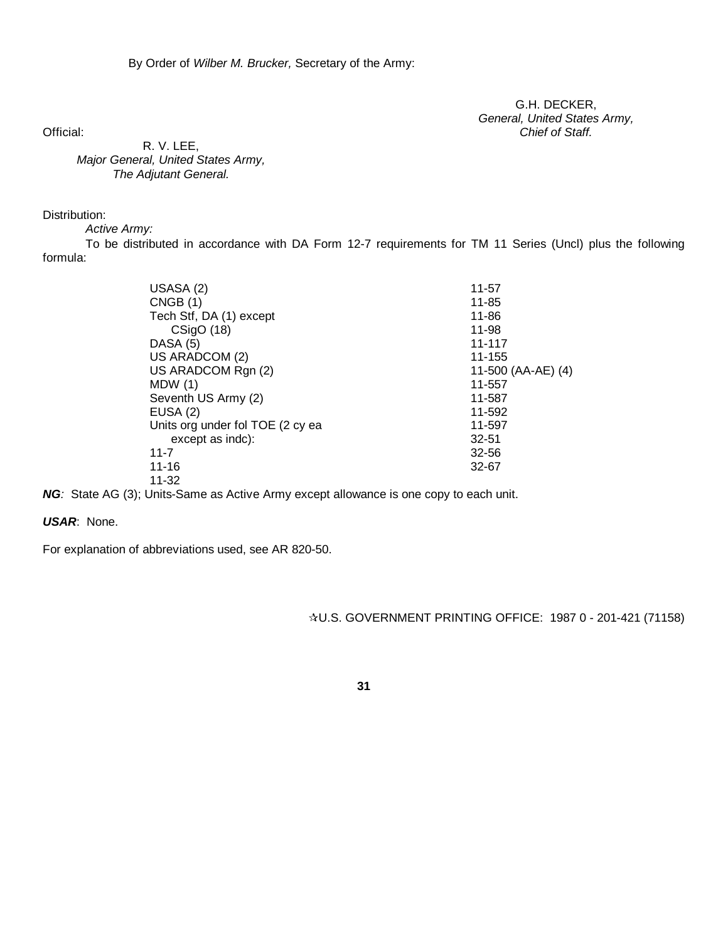G.H. DECKER, *General, United States Army,* Official: *Chief of Staff.*

R. V. LEE, *Major General, United States Army, The Adjutant General.*

# Distribution:

*Active Army:*

To be distributed in accordance with DA Form 12-7 requirements for TM 11 Series (Uncl) plus the following formula:

| USASA (2)                        | $11 - 57$          |
|----------------------------------|--------------------|
| CNGB(1)                          | 11-85              |
| Tech Stf, DA (1) except          | 11-86              |
| CSigO(18)                        | 11-98              |
| DASA (5)                         | 11-117             |
| US ARADCOM (2)                   | 11-155             |
| US ARADCOM Rgn (2)               | 11-500 (AA-AE) (4) |
| MDW(1)                           | 11-557             |
| Seventh US Army (2)              | 11-587             |
| EUSA(2)                          | 11-592             |
| Units org under fol TOE (2 cy ea | 11-597             |
| except as indc):                 | $32 - 51$          |
| $11 - 7$                         | $32 - 56$          |
| $11 - 16$                        | 32-67              |
| $11 - 32$                        |                    |
|                                  |                    |

**NG**: State AG (3); Units-Same as Active Army except allowance is one copy to each unit.

# *USAR*: None.

For explanation of abbreviations used, see AR 820-50.

U.S. GOVERNMENT PRINTING OFFICE: 1987 0 - 201-421 (71158)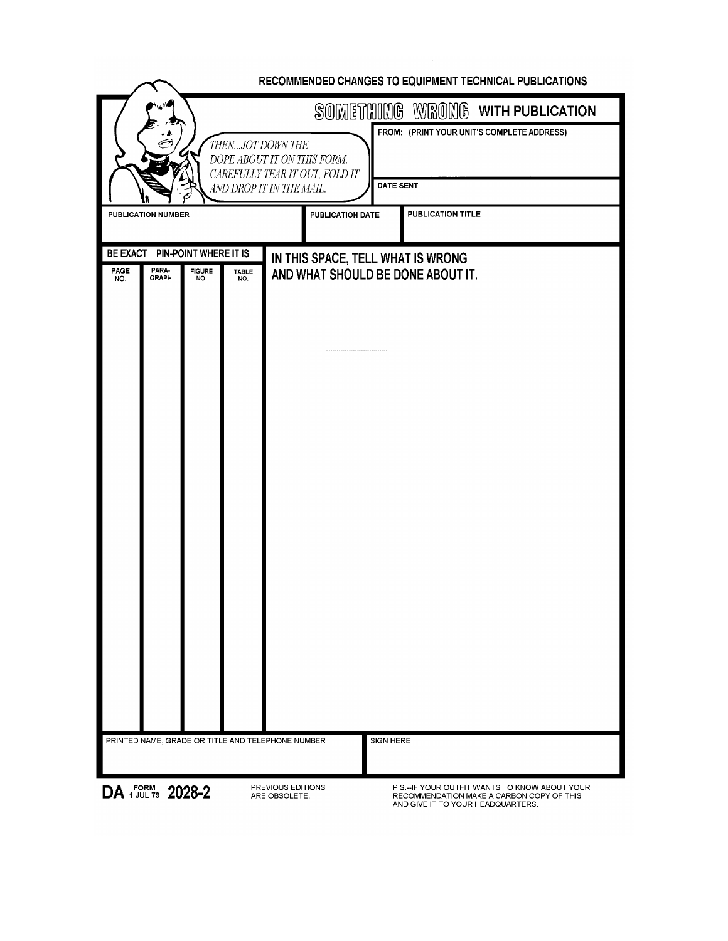| RECOMMENDED CHANGES TO EQUIPMENT TECHNICAL PUBLICATIONS                                                               |                                                                                                                                                                       |  |  |  |  |  |
|-----------------------------------------------------------------------------------------------------------------------|-----------------------------------------------------------------------------------------------------------------------------------------------------------------------|--|--|--|--|--|
|                                                                                                                       | SOMETHING WRONG WITH PUBLICATION                                                                                                                                      |  |  |  |  |  |
| THENJOT DOWN THE                                                                                                      | FROM: (PRINT YOUR UNIT'S COMPLETE ADDRESS)<br>DOPE ABOUT IT ON THIS FORM.<br>CAREFULLY TEAR IT OUT, FOLD IT<br><b>DATE SENT</b><br>AND DROP IT IN THE MAIL.           |  |  |  |  |  |
| <b>PUBLICATION NUMBER</b>                                                                                             | <b>PUBLICATION DATE</b><br>PUBLICATION TITLE                                                                                                                          |  |  |  |  |  |
| BE EXACT PIN-POINT WHERE IT IS<br>PARA-<br>PAGE<br><b>FIGURE</b><br><b>TABLE</b><br><b>GRAPH</b><br>NO.<br>NO.<br>NO. | IN THIS SPACE, TELL WHAT IS WRONG<br>AND WHAT SHOULD BE DONE ABOUT IT.                                                                                                |  |  |  |  |  |
|                                                                                                                       |                                                                                                                                                                       |  |  |  |  |  |
|                                                                                                                       |                                                                                                                                                                       |  |  |  |  |  |
|                                                                                                                       |                                                                                                                                                                       |  |  |  |  |  |
|                                                                                                                       |                                                                                                                                                                       |  |  |  |  |  |
|                                                                                                                       |                                                                                                                                                                       |  |  |  |  |  |
| PRINTED NAME, GRADE OR TITLE AND TELEPHONE NUMBER                                                                     | SIGN HERE                                                                                                                                                             |  |  |  |  |  |
| DA FORM 2028-2                                                                                                        | PREVIOUS EDITIONS<br>P.S.--IF YOUR OUTFIT WANTS TO KNOW ABOUT YOUR<br>ARE OBSOLETE.<br>RECOMMENDATION MAKE A CARBON COPY OF THIS<br>AND GIVE IT TO YOUR HEADQUARTERS. |  |  |  |  |  |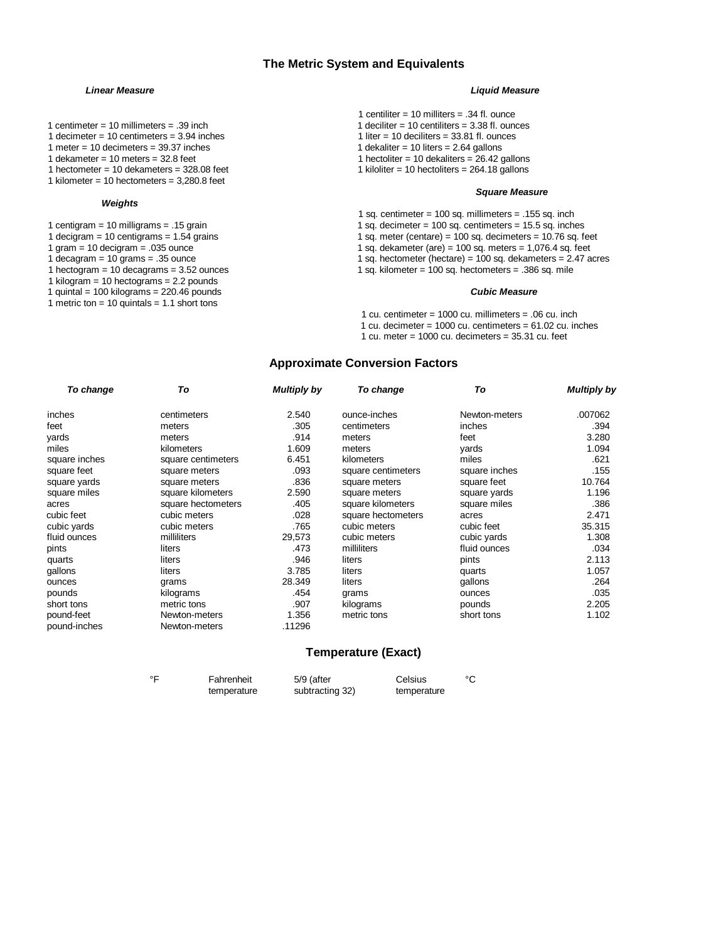## **The Metric System and Equivalents**

- 1 centimeter = 10 millimeters = .39 inch 1 deciliter = 10 centiliters = 3.38 fl. ounces<br>1 decimeter = 10 centimeters = 3.94 inches 1 deciliter = 10 deciliters = 3.38 fl. ounces
- 1 decimeter = 10 centimeters =  $3.94$  inches
- 1 meter = 10 decimeters = 39.37 inches 1 dekaliter = 10 liters = 2.64 gallons<br>1 dekameter = 10 meters = 32.8 feet 1 dekaliters = 26.42 g
- 
- 1 hectometer = 10 dekameters =  $328.08$  feet
- 1 kilometer = 10 hectometers =  $3,280.8$  feet

#### *Weights*

- 
- 
- 
- 
- 1 kilogram = 10 hectograms =  $2.2$  pounds
- 1 quintal = 100 kilograms = 220.46 pounds *Cubic Measure*
- 1 metric ton = 10 quintals = 1.1 short tons

#### *Linear Measure Liquid Measure*

- 1 centiliter =  $10$  milliters = .34 fl. ounce
- 
- 
- 
- 1 hectoliter = 10 dekaliters =  $26.42$  gallons<br>1 kiloliter = 10 hectoliters =  $264.18$  gallons

#### *Square Measure*

- 1 sq. centimeter = 100 sq. millimeters = .155 sq. inch
- 1 centigram = 10 milligrams = .15 grain 1 sq. decimeter = 100 sq. centimeters = 15.5 sq. inches
- 1 decigram = 10 centigrams = 1.54 grains 1 sq. meter (centare) = 100 sq. decimeters = 10.76 sq. feet<br>1 sq. dekameter (are) = 100 sq. meters = 1,076.4 sq. feet<br>1 sq. dekameter (are) = 100 sq. meters = 1,076.4 sq. feet
- 1 gram = 10 decigram = .035 ounce 1 sq. dekameter (are) = 100 sq. meters = 1,076.4 sq. feet<br>1 sq. hectometer (hectare) = 100 sq. dekameters = 2.47 a
- 1 decagram = 10 grams = .35 ounce 1 sq. hectometer (hectare) = 100 sq. dekameters = 2.47 acres<br>1 sq. kilometer = 100 sq. hectometers = .386 sq. mile 1 sq. kilometer = 100 sq. hectometers =  $.386$  sq. mile
	-

1 cu. centimeter = 1000 cu. millimeters = .06 cu. inch 1 cu. decimeter =  $1000$  cu. centimeters =  $61.02$  cu. inches 1 cu. meter =  $1000$  cu. decimeters =  $35.31$  cu. feet

# **Approximate Conversion Factors**

| To change     | To                 | <b>Multiply by</b> | To change          | To            | <b>Multiply by</b> |
|---------------|--------------------|--------------------|--------------------|---------------|--------------------|
| inches        | centimeters        | 2.540              | ounce-inches       | Newton-meters | .007062            |
| feet          | meters             | .305               | centimeters        | inches        | .394               |
| yards         | meters             | .914               | meters             | feet          | 3.280              |
| miles         | kilometers         | 1.609              | meters             | yards         | 1.094              |
| square inches | square centimeters | 6.451              | kilometers         | miles         | .621               |
| square feet   | square meters      | .093               | square centimeters | square inches | .155               |
| square yards  | square meters      | .836               | square meters      | square feet   | 10.764             |
| square miles  | square kilometers  | 2.590              | square meters      | square yards  | 1.196              |
| acres         | square hectometers | .405               | square kilometers  | square miles  | .386               |
| cubic feet    | cubic meters       | .028               | square hectometers | acres         | 2.471              |
| cubic yards   | cubic meters       | .765               | cubic meters       | cubic feet    | 35.315             |
| fluid ounces  | milliliters        | 29,573             | cubic meters       | cubic yards   | 1.308              |
| pints         | liters             | .473               | milliliters        | fluid ounces  | .034               |
| quarts        | liters             | .946               | liters             | pints         | 2.113              |
| gallons       | liters             | 3.785              | liters             | quarts        | 1.057              |
| ounces        | grams              | 28.349             | liters             | gallons       | .264               |
| pounds        | kilograms          | .454               | grams              | ounces        | .035               |
| short tons    | metric tons        | .907               | kilograms          | pounds        | 2.205              |
| pound-feet    | Newton-meters      | 1.356              | metric tons        | short tons    | 1.102              |
| pound-inches  | Newton-meters      | .11296             |                    |               |                    |

### **Temperature (Exact)**

| ∘⊏ | Fahrenheit  | 5/9 (after      | Celsius     | °C |
|----|-------------|-----------------|-------------|----|
|    | temperature | subtracting 32) | temperature |    |